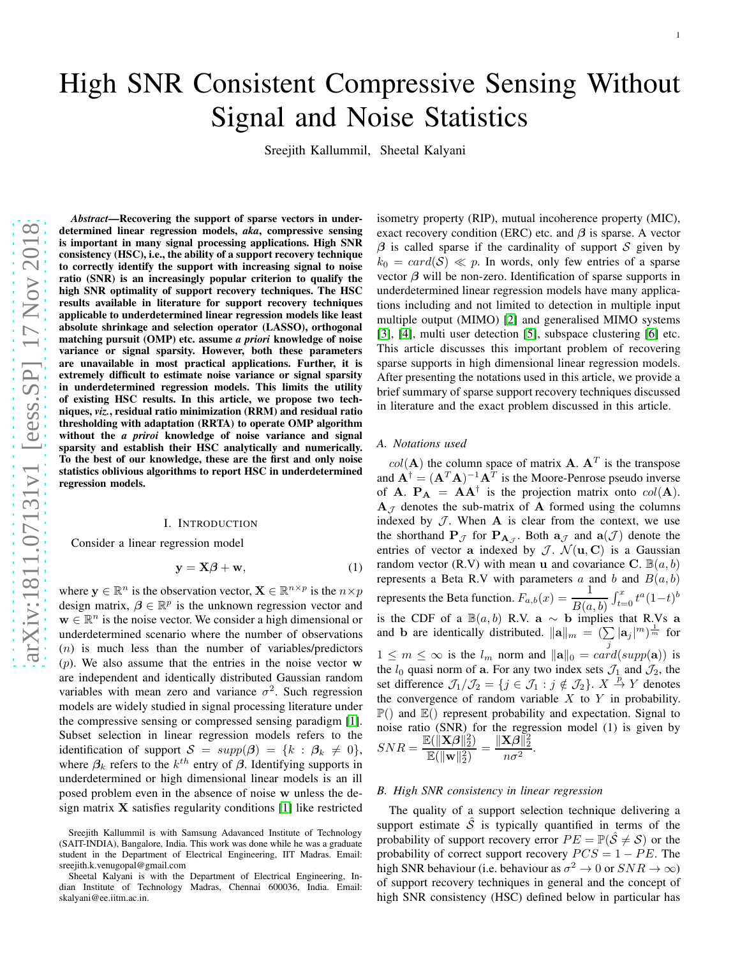# High SNR Consistent Compressive Sensing Without Signal and Noise Statistics

Sreejith Kallummil, Sheetal Kalyani

*Abstract*—Recovering the support of sparse vectors in underdetermined linear regression models, *aka*, compressive sensing is important in many signal processing applications. High SNR consistency (HSC), i.e., the ability of a support recovery technique to correctly identify the support with increasing signal to noise ratio (SNR) is an increasingly popular criterion to qualify the high SNR optimality of support recovery techniques. The HSC results available in literature for support recovery techniques applicable to underdetermined linear regression models like least absolute shrinkage and selection operator (LASSO), orthogonal matching pursuit (OMP) etc. assume *a priori* knowledge of noise variance or signal sparsity. However, both these parameters are unavailable in most practical applications. Further, it is extremely difficult to estimate noise variance or signal sparsity in underdetermined regression models. This limits the utility of existing HSC results. In this article, we propose two techniques, *viz.*, residual ratio minimization (RRM) and residual ratio thresholding with adaptation (RRTA) to operate OMP algorithm without the *a priroi* knowledge of noise variance and signal sparsity and establish their HSC analytically and numerically. To the best of our knowledge, these are the first and only noise statistics oblivious algorithms to report HSC in underdetermined regression models.

## I. INTRODUCTION

Consider a linear regression model

$$
y = X\beta + w,\tag{1}
$$

where  $y \in \mathbb{R}^n$  is the observation vector,  $\mathbf{X} \in \mathbb{R}^{n \times p}$  is the  $n \times p$ design matrix,  $\beta \in \mathbb{R}^p$  is the unknown regression vector and  $\mathbf{w} \in \mathbb{R}^n$  is the noise vector. We consider a high dimensional or underdetermined scenario where the number of observations  $(n)$  is much less than the number of variables/predictors  $(p)$ . We also assume that the entries in the noise vector w are independent and identically distributed Gaussian random variables with mean zero and variance  $\sigma^2$ . Such regression models are widely studied in signal processing literature under the compressive sensing or compressed sensing paradigm [\[1\]](#page-11-0). Subset selection in linear regression models refers to the identification of support  $S = supp(\beta) = \{k : \beta_k \neq 0\},\$ where  $\beta_k$  refers to the  $k^{th}$  entry of  $\beta$ . Identifying supports in underdetermined or high dimensional linear models is an ill posed problem even in the absence of noise w unless the design matrix  $X$  satisfies regularity conditions [\[1\]](#page-11-0) like restricted

isometry property (RIP), mutual incoherence property (MIC), exact recovery condition (ERC) etc. and  $\beta$  is sparse. A vector  $\beta$  is called sparse if the cardinality of support S given by  $k_0 = \text{card}(\mathcal{S}) \ll p$ . In words, only few entries of a sparse vector  $\beta$  will be non-zero. Identification of sparse supports in underdetermined linear regression models have many applications including and not limited to detection in multiple input multiple output (MIMO) [\[2\]](#page-12-0) and generalised MIMO systems [\[3\]](#page-12-1), [\[4\]](#page-12-2), multi user detection [\[5\]](#page-12-3), subspace clustering [\[6\]](#page-12-4) etc. This article discusses this important problem of recovering sparse supports in high dimensional linear regression models. After presenting the notations used in this article, we provide a brief summary of sparse support recovery techniques discussed in literature and the exact problem discussed in this article.

## *A. Notations used*

 $col(\mathbf{A})$  the column space of matrix **A**.  $\mathbf{A}^T$  is the transpose and  $\mathbf{A}^{\dagger} = (\mathbf{A}^T \mathbf{A})^{-1} \mathbf{A}^T$  is the Moore-Penrose pseudo inverse of **A**.  $P_A = AA^{\dagger}$  is the projection matrix onto  $col(A)$ .  $A_{\mathcal{J}}$  denotes the sub-matrix of A formed using the columns indexed by  $J$ . When  $A$  is clear from the context, we use the shorthand  $P_{\mathcal{J}}$  for  $P_{A_{\mathcal{J}}}$ . Both  $a_{\mathcal{J}}$  and  $a(\mathcal{J})$  denote the entries of vector a indexed by  $\mathcal{J}$ .  $\mathcal{N}(\mathbf{u}, \mathbf{C})$  is a Gaussian random vector (R.V) with mean u and covariance C.  $\mathbb{B}(a, b)$ represents a Beta R.V with parameters a and b and  $B(a, b)$ represents the Beta function.  $F_{a,b}(x) = \frac{1}{B(a,b)} \int_{t=0}^{x} t^a (1-t)^b$ is the CDF of a  $\mathbb{B}(a, b)$  R.V. a ~ b implies that R.Vs a and **b** are identically distributed.  $||\mathbf{a}||_m = (\sum |\mathbf{a}_j|^m)^{\frac{1}{m}}$  for  $1 \leq m \leq \infty$  is the  $l_m$  norm and  $\|\mathbf{a}\|_0 = \text{card}(\text{supp}(\mathbf{a}))$  is the  $l_0$  quasi norm of a. For any two index sets  $\mathcal{J}_1$  and  $\mathcal{J}_2$ , the set difference  $\mathcal{J}_1/\mathcal{J}_2 = \{j \in \mathcal{J}_1 : j \notin \mathcal{J}_2\}$ .  $X \stackrel{p}{\rightarrow} Y$  denotes the convergence of random variable  $X$  to  $Y$  in probability.  $\mathbb{P}(\)$  and  $\mathbb{E}(\)$  represent probability and expectation. Signal to noise ratio (SNR) for the regression model (1) is given by  $SNR = \frac{\mathbb{E}(\|\mathbf{X}\boldsymbol{\beta}\|_2^2)}{\mathbb{E}(\|\mathbf{X}\|_2^2)}$  $\frac{\mathbb{E}(\|\mathbf{X}\boldsymbol{\beta}\|_2^2)}{\mathbb{E}(\|\mathbf{w}\|_2^2)} = \frac{\|\mathbf{X}\boldsymbol{\beta}\|_2^2}{n\sigma^2}$  $\frac{n e^{\mu} n^2}{n \sigma^2}.$ 

## *B. High SNR consistency in linear regression*

The quality of a support selection technique delivering a support estimate  $\hat{S}$  is typically quantified in terms of the probability of support recovery error  $PE = \mathbb{P}(\hat{S} \neq \mathcal{S})$  or the probability of correct support recovery  $PCS = 1 - PE$ . The high SNR behaviour (i.e. behaviour as  $\sigma^2 \to 0$  or  $SNR \to \infty$ ) of support recovery techniques in general and the concept of high SNR consistency (HSC) defined below in particular has

Sreejith Kallummil is with Samsung Adavanced Institute of Technology (SAIT-INDIA), Bangalore, India. This work was done while he was a graduate student in the Department of Electrical Engineering, IIT Madras. Email: sreejith.k.venugopal@gmail.com

Sheetal Kalyani is with the Department of Electrical Engineering, Indian Institute of Technology Madras, Chennai 600036, India. Email: skalyani@ee.iitm.ac.in.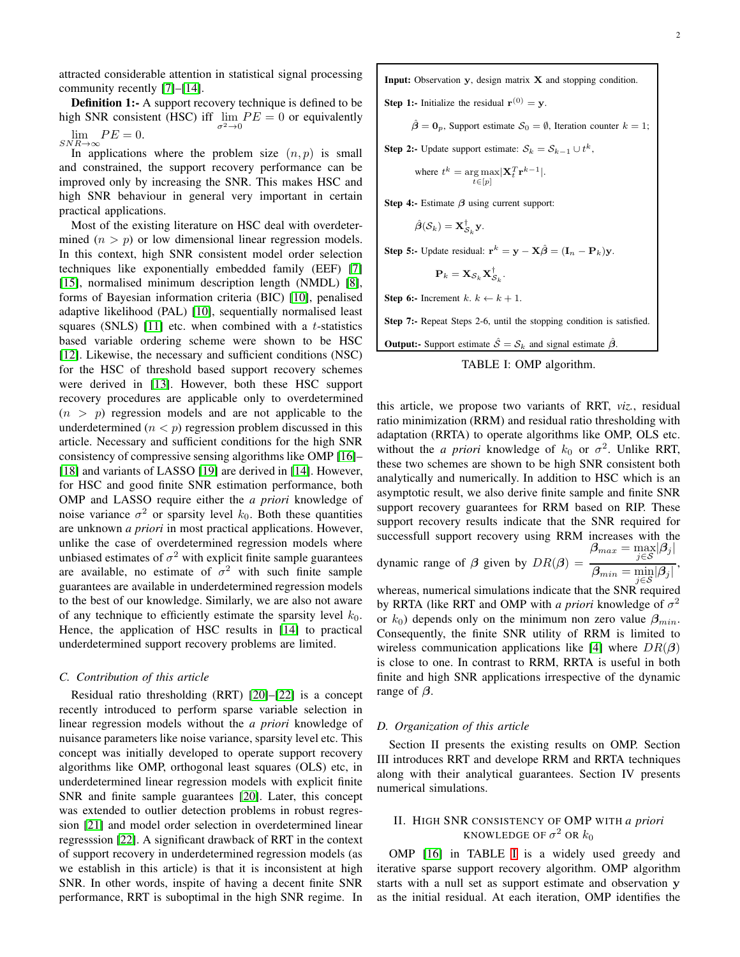attracted considerable attention in statistical signal processing community recently [\[7\]](#page-12-5)–[\[14\]](#page-12-6).

Definition 1:- A support recovery technique is defined to be high SNR consistent (HSC) iff  $\lim_{\sigma^2 \to 0} PE = 0$  or equivalently  $\lim_{E \to 0} PE = 0.$ 

 $SNR \rightarrow \infty$ <br>In applications where the problem size  $(n, p)$  is small and constrained, the support recovery performance can be improved only by increasing the SNR. This makes HSC and high SNR behaviour in general very important in certain practical applications.

Most of the existing literature on HSC deal with overdetermined  $(n > p)$  or low dimensional linear regression models. In this context, high SNR consistent model order selection techniques like exponentially embedded family (EEF) [\[7\]](#page-12-5) [\[15\]](#page-12-7), normalised minimum description length (NMDL) [\[8\]](#page-12-8), forms of Bayesian information criteria (BIC) [\[10\]](#page-12-9), penalised adaptive likelihood (PAL) [\[10\]](#page-12-9), sequentially normalised least squares (SNLS) [\[11\]](#page-12-10) etc. when combined with a  $t$ -statistics based variable ordering scheme were shown to be HSC [\[12\]](#page-12-11). Likewise, the necessary and sufficient conditions (NSC) for the HSC of threshold based support recovery schemes were derived in [\[13\]](#page-12-12). However, both these HSC support recovery procedures are applicable only to overdetermined  $(n > p)$  regression models and are not applicable to the underdetermined  $(n < p)$  regression problem discussed in this article. Necessary and sufficient conditions for the high SNR consistency of compressive sensing algorithms like OMP [\[16\]](#page-12-13)– [\[18\]](#page-12-14) and variants of LASSO [\[19\]](#page-12-15) are derived in [\[14\]](#page-12-6). However, for HSC and good finite SNR estimation performance, both OMP and LASSO require either the *a priori* knowledge of noise variance  $\sigma^2$  or sparsity level  $k_0$ . Both these quantities are unknown *a priori* in most practical applications. However, unlike the case of overdetermined regression models where unbiased estimates of  $\sigma^2$  with explicit finite sample guarantees are available, no estimate of  $\sigma^2$  with such finite sample guarantees are available in underdetermined regression models to the best of our knowledge. Similarly, we are also not aware of any technique to efficiently estimate the sparsity level  $k_0$ . Hence, the application of HSC results in [\[14\]](#page-12-6) to practical underdetermined support recovery problems are limited.

## *C. Contribution of this article*

Residual ratio thresholding (RRT) [\[20\]](#page-12-16)–[\[22\]](#page-12-17) is a concept recently introduced to perform sparse variable selection in linear regression models without the *a priori* knowledge of nuisance parameters like noise variance, sparsity level etc. This concept was initially developed to operate support recovery algorithms like OMP, orthogonal least squares (OLS) etc, in underdetermined linear regression models with explicit finite SNR and finite sample guarantees [\[20\]](#page-12-16). Later, this concept was extended to outlier detection problems in robust regression [\[21\]](#page-12-18) and model order selection in overdetermined linear regresssion [\[22\]](#page-12-17). A significant drawback of RRT in the context of support recovery in underdetermined regression models (as we establish in this article) is that it is inconsistent at high SNR. In other words, inspite of having a decent finite SNR performance, RRT is suboptimal in the high SNR regime. In

<span id="page-1-0"></span>Input: Observation y, design matrix X and stopping condition.

**Step 1:-** Initialize the residual  $\mathbf{r}^{(0)} = \mathbf{y}$ .

 $\hat{\beta} = \mathbf{0}_p$ , Support estimate  $\mathcal{S}_0 = \emptyset$ , Iteration counter  $k = 1$ ;

**Step 2:-** Update support estimate:  $S_k = S_{k-1} \cup t^k$ ,

where 
$$
t^k = \underset{t \in [p]}{\arg \max} |\mathbf{X}_t^T \mathbf{r}^{k-1}|
$$
.

Step 4:- Estimate  $\beta$  using current support:

 $\hat{\boldsymbol{\beta}}(\mathcal{S}_k) = \mathbf{X}_{\mathcal{S}_k}^{\dagger} \mathbf{y}.$ 

**Step 5:-** Update residual:  $\mathbf{r}^k = \mathbf{y} - \mathbf{X}\hat{\boldsymbol{\beta}} = (\mathbf{I}_n - \mathbf{P}_k)\mathbf{y}$ .

$$
\mathbf{P}_k = \mathbf{X}_{\mathcal{S}_k} \mathbf{X}_{\mathcal{S}_k}^\dagger.
$$

Step 6:- Increment  $k, k \leftarrow k + 1$ .

Step 7:- Repeat Steps 2-6, until the stopping condition is satisfied.

**Output:-** Support estimate  $\hat{S} = S_k$  and signal estimate  $\hat{\beta}$ .

TABLE I: OMP algorithm.

this article, we propose two variants of RRT, *viz.*, residual ratio minimization (RRM) and residual ratio thresholding with adaptation (RRTA) to operate algorithms like OMP, OLS etc. without the *a priori* knowledge of  $k_0$  or  $\sigma^2$ . Unlike RRT, these two schemes are shown to be high SNR consistent both analytically and numerically. In addition to HSC which is an asymptotic result, we also derive finite sample and finite SNR support recovery guarantees for RRM based on RIP. These support recovery results indicate that the SNR required for successfull support recovery using RRM increases with the  $\boldsymbol{\beta}_{max} = \max_{j \in \mathcal{S}} |\boldsymbol{\beta}_j|$ 

dynamic range of  $\beta$  given by  $DR(\beta) =$  $\overline{\beta_{min} = \min_{j \in S} |\beta_j|},$ 

whereas, numerical simulations indicate that the SNR required by RRTA (like RRT and OMP with *a priori* knowledge of  $\sigma^2$ or  $k_0$ ) depends only on the minimum non zero value  $\beta_{min}$ . Consequently, the finite SNR utility of RRM is limited to wireless communication applications like [\[4\]](#page-12-2) where  $DR(\beta)$ is close to one. In contrast to RRM, RRTA is useful in both finite and high SNR applications irrespective of the dynamic range of  $\beta$ .

## *D. Organization of this article*

Section II presents the existing results on OMP. Section III introduces RRT and develope RRM and RRTA techniques along with their analytical guarantees. Section IV presents numerical simulations.

# II. HIGH SNR CONSISTENCY OF OMP WITH *a priori* KNOWLEDGE OF  $\sigma^2$  or  $k_0$

OMP [\[16\]](#page-12-13) in TABLE [I](#page-1-0) is a widely used greedy and iterative sparse support recovery algorithm. OMP algorithm starts with a null set as support estimate and observation y as the initial residual. At each iteration, OMP identifies the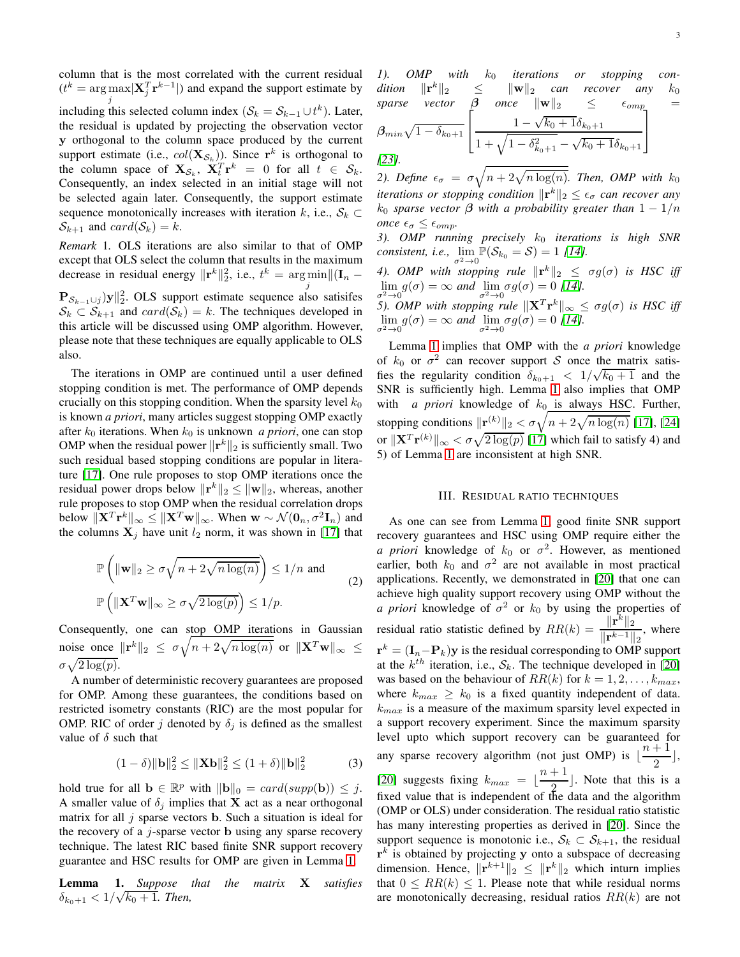column that is the most correlated with the current residual  $(t^k = \arg \max \vert \mathbf{X}_j^T \mathbf{r}^{k-1} \vert)$  and expand the support estimate by j including this selected column index  $(S_k = S_{k-1} \cup t^k)$ . Later, the residual is updated by projecting the observation vector y orthogonal to the column space produced by the current support estimate (i.e.,  $col(\mathbf{X}_{S_k})$ ). Since  $\mathbf{r}^k$  is orthogonal to the column space of  $\mathbf{X}_{\mathcal{S}_k}$ ,  $\mathbf{X}_t^T \mathbf{r}^k = 0$  for all  $t \in \mathcal{S}_k$ . Consequently, an index selected in an initial stage will not be selected again later. Consequently, the support estimate sequence monotonically increases with iteration k, i.e.,  $S_k \subset$  $\mathcal{S}_{k+1}$  and  $card(\mathcal{S}_k) = k$ .

*Remark* 1*.* OLS iterations are also similar to that of OMP except that OLS select the column that results in the maximum decrease in residual energy  $\|\mathbf{r}^k\|_2^2$ , i.e.,  $t^k = \arg\min_{\mathbf{r}} \|(I_n$ j  $\mathbf{P}_{\mathcal{S}_{k-1} \cup j}$ )y $\|_2^2$ . OLS support estimate sequence also satisifes

 $S_k \subset S_{k+1}$  and  $card(S_k) = k$ . The techniques developed in this article will be discussed using OMP algorithm. However, please note that these techniques are equally applicable to OLS also.

The iterations in OMP are continued until a user defined stopping condition is met. The performance of OMP depends crucially on this stopping condition. When the sparsity level  $k_0$ is known *a priori*, many articles suggest stopping OMP exactly after  $k_0$  iterations. When  $k_0$  is unknown *a priori*, one can stop OMP when the residual power  $\|\mathbf{r}^k\|_2$  is sufficiently small. Two such residual based stopping conditions are popular in literature [\[17\]](#page-12-19). One rule proposes to stop OMP iterations once the residual power drops below  $\|\mathbf{r}^k\|_2 \leq \|\mathbf{w}\|_2$ , whereas, another rule proposes to stop OMP when the residual correlation drops below  $\|\mathbf{X}^T\mathbf{r}^k\|_{\infty} \leq \|\mathbf{X}^T\mathbf{w}\|_{\infty}$ . When  $\mathbf{w} \sim \mathcal{N}(\mathbf{0}_n, \sigma^2 \mathbf{I}_n)$  and the columns  $X_j$  have unit  $l_2$  norm, it was shown in [\[17\]](#page-12-19) that

$$
\mathbb{P}\left(\|\mathbf{w}\|_{2} \geq \sigma\sqrt{n+2\sqrt{n\log(n)}}\right) \leq 1/n \text{ and}
$$
\n
$$
\mathbb{P}\left(\|\mathbf{X}^{T}\mathbf{w}\|_{\infty} \geq \sigma\sqrt{2\log(p)}\right) \leq 1/p. \tag{2}
$$

Consequently, one can stop OMP iterations in Gaussian noise once  $\|\mathbf{r}^k\|_2 \leq \sigma \sqrt{n + 2\sqrt{n \log(n)}}$  or  $\|\mathbf{X}^T\mathbf{w}\|_{\infty} \leq$  $\sigma \sqrt{2 \log(p)}$ .

A number of deterministic recovery guarantees are proposed for OMP. Among these guarantees, the conditions based on restricted isometry constants (RIC) are the most popular for OMP. RIC of order j denoted by  $\delta_i$  is defined as the smallest value of  $\delta$  such that

$$
(1 - \delta) \|\mathbf{b}\|_2^2 \le \|\mathbf{X}\mathbf{b}\|_2^2 \le (1 + \delta) \|\mathbf{b}\|_2^2 \tag{3}
$$

hold true for all  $\mathbf{b} \in \mathbb{R}^p$  with  $\|\mathbf{b}\|_0 = \text{card}(\text{supp}(\mathbf{b})) \leq j$ . A smaller value of  $\delta_i$  implies that **X** act as a near orthogonal matrix for all  $j$  sparse vectors **b**. Such a situation is ideal for the recovery of a  $i$ -sparse vector b using any sparse recovery technique. The latest RIC based finite SNR support recovery guarantee and HSC results for OMP are given in Lemma [1.](#page-2-0)

<span id="page-2-0"></span>Lemma 1. *Suppose that the matrix* X *satisfies*  $\delta_{k_0+1} < 1/\sqrt{k_0+1}$ . Then,

1). OMP with  $k_0$  iterations or stopping con- $\text{dition} \quad \|\mathbf{r}^k\|_2 \leq \|\mathbf{w}\|_2 \quad \text{can} \quad \text{recover} \quad \text{any} \quad k_0$ *sparse vector*  $\beta$  *once*  $\|\mathbf{w}\|_2 \leq \epsilon_{omp}$  =  $\beta_{min}\sqrt{1-\delta_{k_0+1}}$  $\sqrt{ }$  $\overline{1}$  $1 - \sqrt{k_0 + 1} \delta_{k_0+1}$  $1 + \sqrt{1 - \delta_{k_0+1}^2} - \sqrt{k_0 + 1} \delta_{k_0+1}$ 1  $\overline{1}$ *[\[23\]](#page-12-20).*

2). Define  $\epsilon_{\sigma} = \sigma \sqrt{n + 2\sqrt{n \log(n)}}$ . Then, OMP with  $k_0$ *iterations or stopping condition*  $\|\mathbf{r}^k\|_2 \leq \epsilon_{\sigma}$  *can recover any*  $k_0$  *sparse vector*  $\beta$  *with a probability greater than*  $1 - 1/n$ *once*  $\epsilon_{\sigma} \leq \epsilon_{omp}$ .

3). OMP running precisely  $k_0$  *iterations is high SNR consistent, i.e.,*  $\lim_{\sigma^2 \to 0} \mathbb{P}(\mathcal{S}_{k_0} = \mathcal{S}) = 1$  [\[14\]](#page-12-6)*.* 

*4*). OMP with stopping rule  $\|\mathbf{r}^k\|_2 \leq \sigma g(\sigma)$  is HSC iff  $\lim_{\sigma^2 \to 0} g(\sigma) = \infty$  and  $\lim_{\sigma^2 \to 0} \sigma g(\sigma) = 0$  [\[14\]](#page-12-6)*.*<br> $\sigma^2$ 

*5). OMP with stopping rule*  $\|\mathbf{X}^T\mathbf{r}^k\|_{\infty} \leq \sigma g(\sigma)$  *is HSC iff*  $\lim_{\sigma^2 \to 0} g(\sigma) = \infty$  *and*  $\lim_{\sigma^2 \to 0} \sigma g(\sigma) = 0$  [\[14\]](#page-12-6)*.* 

Lemma [1](#page-2-0) implies that OMP with the *a priori* knowledge of  $k_0$  or  $\sigma^2$  can recover support S once the matrix satisfies the regularity condition  $\delta_{k_0+1} < 1/\sqrt{k_0+1}$  and the SNR is sufficiently high. Lemma [1](#page-2-0) also implies that OMP with *a priori* knowledge of  $k_0$  is always HSC. Further, stopping conditions  $\|\mathbf{r}^{(k)}\|_2 < \sigma\sqrt{n + 2\sqrt{n\log(n)}}$  [\[17\]](#page-12-19), [\[24\]](#page-12-21) or  $\|\mathbf{X}^T\mathbf{r}^{(k)}\|_{\infty} < \sigma\sqrt{2\log(p)}$  [\[17\]](#page-12-19) which fail to satisfy 4) and 5) of Lemma [1](#page-2-0) are inconsistent at high SNR.

## III. RESIDUAL RATIO TECHNIQUES

As one can see from Lemma [1,](#page-2-0) good finite SNR support recovery guarantees and HSC using OMP require either the *a priori* knowledge of  $k_0$  or  $\sigma^2$ . However, as mentioned earlier, both  $k_0$  and  $\sigma^2$  are not available in most practical applications. Recently, we demonstrated in [\[20\]](#page-12-16) that one can achieve high quality support recovery using OMP without the *a priori* knowledge of  $\sigma^2$  or  $k_0$  by using the properties of residual ratio statistic defined by  $RR(k) = \frac{\|\mathbf{r}^{k}\|_{2}}{\|\mathbf{r}^{k}\|_{2}}$  $\frac{\Vert \mathbf{r}^k - \mathbf{r} \Vert_2}{\Vert \mathbf{r}^{k-1} \Vert_2}$ , where  $\mathbf{r}^k = (\mathbf{I}_n - \mathbf{P}_k)\mathbf{y}$  is the residual corresponding to OMP support at the  $k^{th}$  iteration, i.e.,  $S_k$ . The technique developed in [\[20\]](#page-12-16) was based on the behaviour of  $RR(k)$  for  $k = 1, 2, ..., k_{max}$ , where  $k_{max} \geq k_0$  is a fixed quantity independent of data.  $k_{max}$  is a measure of the maximum sparsity level expected in a support recovery experiment. Since the maximum sparsity level upto which support recovery can be guaranteed for any sparse recovery algorithm (not just OMP) is  $\lfloor \frac{n+1}{2} \rfloor$  $\frac{1}{2}$ , [\[20\]](#page-12-16) suggests fixing  $k_{max} = \lfloor \frac{n+1}{2} \rfloor$  $\frac{1}{2}$ . Note that this is a fixed value that is independent of the data and the algorithm (OMP or OLS) under consideration. The residual ratio statistic has many interesting properties as derived in [\[20\]](#page-12-16). Since the support sequence is monotonic i.e.,  $S_k \subset S_{k+1}$ , the residual  $r<sup>k</sup>$  is obtained by projecting y onto a subspace of decreasing dimension. Hence,  $\|\mathbf{r}^{k+1}\|_2 \leq \|\mathbf{r}^k\|_2$  which inturn implies that  $0 \leq RR(k) \leq 1$ . Please note that while residual norms are monotonically decreasing, residual ratios  $RR(k)$  are not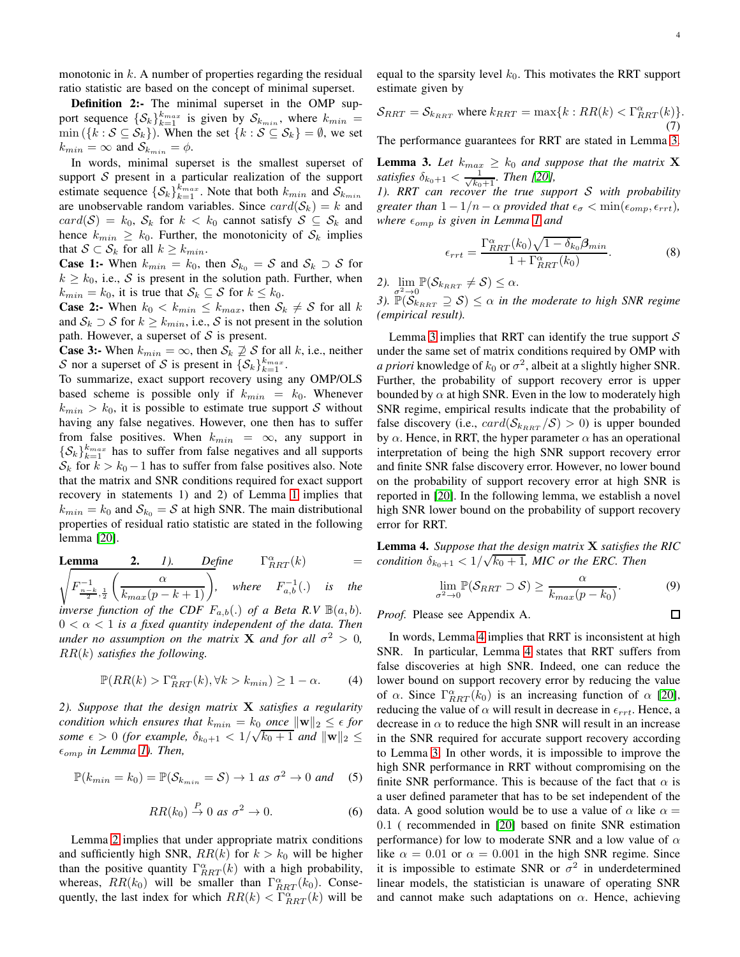$\Box$ 

monotonic in  $k$ . A number of properties regarding the residual ratio statistic are based on the concept of minimal superset.

**Definition 2:-** The minimal superset in the OMP support sequence  $\{\mathcal{S}_k\}_{k=1}^{k_{max}}$  is given by  $\mathcal{S}_{k_{min}}$ , where  $k_{min}$  =  $\min (\{k : S \subseteq S_k\})$ . When the set  $\{k : S \subseteq S_k\} = \emptyset$ , we set  $k_{min} = \infty$  and  $S_{k_{min}} = \phi$ .

In words, minimal superset is the smallest superset of support  $S$  present in a particular realization of the support estimate sequence  $\{\mathcal{S}_k\}_{k=1}^{k_{max}}$ . Note that both  $k_{min}$  and  $\mathcal{S}_{k_{min}}$ are unobservable random variables. Since  $card(S_k) = k$  and  $card(S) = k_0$ ,  $S_k$  for  $k < k_0$  cannot satisfy  $S \subseteq S_k$  and hence  $k_{min} \geq k_0$ . Further, the monotonicity of  $S_k$  implies that  $S \subset S_k$  for all  $k \geq k_{min}$ .

**Case 1:-** When  $k_{min} = k_0$ , then  $S_{k_0} = S$  and  $S_k \supset S$  for  $k \geq k_0$ , i.e., S is present in the solution path. Further, when  $k_{min} = k_0$ , it is true that  $S_k \subseteq S$  for  $k \leq k_0$ .

**Case 2:-** When  $k_0 < k_{min} \leq k_{max}$ , then  $S_k \neq S$  for all k and  $S_k \supset S$  for  $k \geq k_{min}$ , i.e., S is not present in the solution path. However, a superset of  $S$  is present.

**Case 3:-** When  $k_{min} = \infty$ , then  $S_k \not\supseteq S$  for all k, i.e., neither S nor a superset of S is present in  $\{\mathcal{S}_k\}_{k=1}^{k_{max}}$ .

To summarize, exact support recovery using any OMP/OLS based scheme is possible only if  $k_{min} = k_0$ . Whenever  $k_{min} > k_0$ , it is possible to estimate true support S without having any false negatives. However, one then has to suffer from false positives. When  $k_{min} = \infty$ , any support in  $\{\mathcal{S}_k\}_{k=1}^{k_{max}}$  has to suffer from false negatives and all supports  $S_k$  for  $k > k_0 - 1$  has to suffer from false positives also. Note that the matrix and SNR conditions required for exact support recovery in statements 1) and 2) of Lemma [1](#page-2-0) implies that  $k_{min} = k_0$  and  $S_{k_0} = S$  at high SNR. The main distributional properties of residual ratio statistic are stated in the following lemma [\[20\]](#page-12-16).

<span id="page-3-0"></span>**Lemma 2.** 1). Define  $\Gamma_{RRT}^{\alpha}$  $\Gamma_{BRT}^{\alpha}(k)$  $(k)$  =  $F^{-1}_{\frac{n-k}{2},\frac{1}{2}}$  $\left(\frac{\alpha}{k_{max}(p-k+1)}\right)$ , where  $F_{a,b}^{-1}(.)$  is the *inverse function of the CDF*  $F_{a,b}(.)$  *of a Beta R.V*  $\mathbb{B}(a,b)$ *.*  $0 < \alpha < 1$  *is a fixed quantity independent of the data. Then under no assumption on the matrix* **X** *and for all*  $\sigma^2 > 0$ *,* RR(k) *satisfies the following.*

$$
\mathbb{P}(RR(k) > \Gamma_{RRT}^{\alpha}(k), \forall k > k_{min}) \ge 1 - \alpha.
$$
 (4)

*2). Suppose that the design matrix* X *satisfies a regularity condition which ensures that*  $k_{min} = k_0$  *once*  $\|\mathbf{w}\|_2 \leq \epsilon$  *for some*  $\epsilon > 0$  (for example,  $\delta_{k_0+1} < 1/\sqrt{k_0+1}$  and  $\|\mathbf{w}\|_2 \le$  $\epsilon_{omp}$  *in Lemma [1\)](#page-2-0). Then,* 

$$
\mathbb{P}(k_{min} = k_0) = \mathbb{P}(\mathcal{S}_{k_{min}} = \mathcal{S}) \to 1 \text{ as } \sigma^2 \to 0 \text{ and } (5)
$$

$$
RR(k_0) \stackrel{P}{\rightarrow} 0 \text{ as } \sigma^2 \rightarrow 0. \tag{6}
$$

Lemma [2](#page-3-0) implies that under appropriate matrix conditions and sufficiently high SNR,  $RR(k)$  for  $k > k_0$  will be higher than the positive quantity  $\Gamma_{RRT}^{\alpha}(k)$  with a high probability, whereas,  $RR(k_0)$  will be smaller than  $\Gamma_{RRT}^{\alpha}(k_0)$ . Consequently, the last index for which  $RR(k) < \Gamma_{RRT}^{\alpha}(k)$  will be

equal to the sparsity level  $k_0$ . This motivates the RRT support estimate given by

$$
\mathcal{S}_{RRT} = \mathcal{S}_{k_{RRT}}
$$
 where  $k_{RRT} = \max\{k : RR(k) < \Gamma_{RRT}^{\alpha}(k)\}.$ \n<sup>(7)</sup>

The performance guarantees for RRT are stated in Lemma [3.](#page-3-1)

<span id="page-3-1"></span>**Lemma 3.** Let  $k_{max} \geq k_0$  and suppose that the matrix **X** *satisfies*  $\delta_{k_0+1} < \frac{1}{\sqrt{k_0+1}}$ *. Then [\[20\]](#page-12-16),* 

*1). RRT can recover the true support* S *with probability greater than*  $1 - 1/n - \alpha$  *provided that*  $\epsilon_{\sigma} < \min(\epsilon_{omp}, \epsilon_{rrt})$ *, where*  $\epsilon_{omp}$  *is given in Lemma [1](#page-2-0) and* 

$$
\epsilon_{rrt} = \frac{\Gamma_{RRT}^{\alpha}(k_0)\sqrt{1 - \delta_{k_0}}\beta_{min}}{1 + \Gamma_{RRT}^{\alpha}(k_0)}.
$$
 (8)

2).  $\lim_{\sigma^2 \to 0} \mathbb{P}(\mathcal{S}_{k_{RRT}} \neq \mathcal{S}) \leq \alpha$ .

 $\overline{\sigma^2 \rightarrow 0}$  ( $\overline{\kappa_{RRT}}$ ) =  $\overline{\kappa}$ ) =  $\overline{\kappa}$ <br>3).  $\mathbb{P}(\mathcal{S}_{k_{RRT}} \supseteq \mathcal{S}) \leq \alpha$  in the moderate to high SNR regime *(empirical result).*

Lemma [3](#page-3-1) implies that RRT can identify the true support  $S$ under the same set of matrix conditions required by OMP with *a priori* knowledge of  $k_0$  or  $\sigma^2$ , albeit at a slightly higher SNR. Further, the probability of support recovery error is upper bounded by  $\alpha$  at high SNR. Even in the low to moderately high SNR regime, empirical results indicate that the probability of false discovery (i.e.,  $card(S_{k_{RRT}}/S) > 0$ ) is upper bounded by  $\alpha$ . Hence, in RRT, the hyper parameter  $\alpha$  has an operational interpretation of being the high SNR support recovery error and finite SNR false discovery error. However, no lower bound on the probability of support recovery error at high SNR is reported in [\[20\]](#page-12-16). In the following lemma, we establish a novel high SNR lower bound on the probability of support recovery error for RRT.

<span id="page-3-2"></span>Lemma 4. *Suppose that the design matrix* X *satisfies the RIC*  $\frac{1}{c}$ *condition*  $\delta_{k_0+1} < 1/\sqrt{k_0+1}$ , MIC or the ERC. Then

$$
\lim_{r^2 \to 0} \mathbb{P}(\mathcal{S}_{RRT} \supset \mathcal{S}) \ge \frac{\alpha}{k_{max}(p - k_0)}.
$$
 (9)

*Proof.* Please see Appendix A.

 $\sigma$ 

In words, Lemma [4](#page-3-2) implies that RRT is inconsistent at high SNR. In particular, Lemma [4](#page-3-2) states that RRT suffers from false discoveries at high SNR. Indeed, one can reduce the lower bound on support recovery error by reducing the value of  $\alpha$ . Since  $\Gamma_{RRT}^{\alpha}(k_0)$  is an increasing function of  $\alpha$  [\[20\]](#page-12-16), reducing the value of  $\alpha$  will result in decrease in  $\epsilon_{rrt}$ . Hence, a decrease in  $\alpha$  to reduce the high SNR will result in an increase in the SNR required for accurate support recovery according to Lemma [3.](#page-3-1) In other words, it is impossible to improve the high SNR performance in RRT without compromising on the finite SNR performance. This is because of the fact that  $\alpha$  is a user defined parameter that has to be set independent of the data. A good solution would be to use a value of  $\alpha$  like  $\alpha =$ 0.1 ( recommended in [\[20\]](#page-12-16) based on finite SNR estimation performance) for low to moderate SNR and a low value of  $\alpha$ like  $\alpha = 0.01$  or  $\alpha = 0.001$  in the high SNR regime. Since it is impossible to estimate SNR or  $\sigma^2$  in underdetermined linear models, the statistician is unaware of operating SNR and cannot make such adaptations on  $\alpha$ . Hence, achieving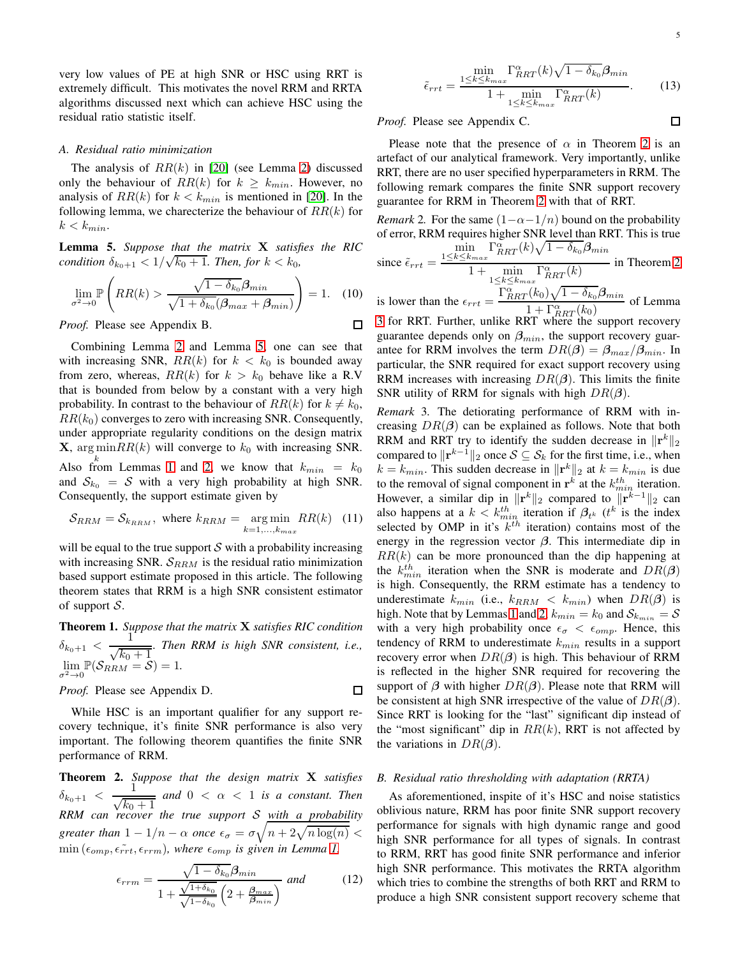very low values of PE at high SNR or HSC using RRT is extremely difficult. This motivates the novel RRM and RRTA algorithms discussed next which can achieve HSC using the residual ratio statistic itself.

#### *A. Residual ratio minimization*

The analysis of  $RR(k)$  in [\[20\]](#page-12-16) (see Lemma [2\)](#page-3-0) discussed only the behaviour of  $RR(k)$  for  $k \geq k_{min}$ . However, no analysis of  $RR(k)$  for  $k < k_{min}$  is mentioned in [\[20\]](#page-12-16). In the following lemma, we charecterize the behaviour of  $RR(k)$  for  $k < k_{min}$ .

<span id="page-4-0"></span>Lemma 5. *Suppose that the matrix* X *satisfies the RIC condition*  $\delta_{k_0+1} < 1/\sqrt{k_0+1}$ . Then, for  $k < k_0$ ,

$$
\lim_{\sigma^2 \to 0} \mathbb{P}\left(RR(k) > \frac{\sqrt{1 - \delta_{k_0}} \beta_{min}}{\sqrt{1 + \delta_{k_0}} (\beta_{max} + \beta_{min})}\right) = 1. \quad (10)
$$
  
ooof. Please see Appendix B.

*Proof.* Please see Appendix B.

Combining Lemma [2](#page-3-0) and Lemma [5,](#page-4-0) one can see that with increasing SNR,  $RR(k)$  for  $k < k_0$  is bounded away from zero, whereas,  $RR(k)$  for  $k > k_0$  behave like a R.V that is bounded from below by a constant with a very high probability. In contrast to the behaviour of  $RR(k)$  for  $k \neq k_0$ ,  $RR(k_0)$  converges to zero with increasing SNR. Consequently, under appropriate regularity conditions on the design matrix **X**, arg min $RR(k)$  will converge to  $k_0$  with increasing SNR. Also from Lemmas [1](#page-2-0) and [2,](#page-3-0) we know that  $k_{min} = k_0$ 

and  $S_{k_0} = S$  with a very high probability at high SNR. Consequently, the support estimate given by

$$
S_{RRM} = S_{k_{RRM}}, \text{ where } k_{RRM} = \underset{k=1,\dots,k_{max}}{\arg \min} RR(k) \quad (11)
$$

will be equal to the true support  $S$  with a probability increasing with increasing SNR.  $S_{RRM}$  is the residual ratio minimization based support estimate proposed in this article. The following theorem states that RRM is a high SNR consistent estimator of support  $S$ .

<span id="page-4-2"></span>Theorem 1. *Suppose that the matrix* X *satisfies RIC condition*  $\delta_{k_0+1}$  <  $\frac{1}{\sqrt{1}}$  $\frac{1}{\sqrt{k_0+1}}$ . Then RRM is high SNR consistent, i.e.,  $\lim_{\sigma^2 \to 0} \mathbb{P}(\mathcal{S}_{RRM} = \mathcal{S}) = 1.$ 

 $\Box$ 

*Proof.* Please see Appendix D.

While HSC is an important qualifier for any support recovery technique, it's finite SNR performance is also very important. The following theorem quantifies the finite SNR performance of RRM.

<span id="page-4-1"></span>Theorem 2. *Suppose that the design matrix* X *satisfies*  $\delta_{k_0+1}$  <  $\frac{1}{\sqrt{1}}$  $\frac{1}{\sqrt{k_0+1}}$  and  $0 < \alpha < 1$  is a constant. Then *RRM can recover the true support* S *with a probability greater than*  $1 - 1/n - \alpha$  *once*  $\epsilon_{\sigma} = \sigma \sqrt{n + 2\sqrt{n \log(n)}}$  <  $\min(\epsilon_{omp}, \epsilon_{rrt}, \epsilon_{rrm})$ , where  $\epsilon_{omp}$  is given in Lemma [1,](#page-2-0)

$$
\epsilon_{rrm} = \frac{\sqrt{1 - \delta_{k_0}} \beta_{min}}{1 + \frac{\sqrt{1 + \delta_{k_0}}}{\sqrt{1 - \delta_{k_0}}}} \frac{\beta_{min}}{\left(2 + \frac{\beta_{max}}{\beta_{min}}\right)} \quad \text{(12)}
$$

$$
\tilde{\epsilon}_{rrt} = \frac{\min_{1 \le k \le k_{max}} \Gamma_{RRT}^{\alpha}(k)\sqrt{1 - \delta_{k_0}} \beta_{min}}{1 + \min_{1 \le k \le k_{max}} \Gamma_{RRT}^{\alpha}(k)}.
$$
(13)

*Proof.* Please see Appendix C.

Please note that the presence of  $\alpha$  in Theorem [2](#page-4-1) is an artefact of our analytical framework. Very importantly, unlike RRT, there are no user specified hyperparameters in RRM. The following remark compares the finite SNR support recovery guarantee for RRM in Theorem [2](#page-4-1) with that of RRT.

*Remark* 2. For the same  $(1-\alpha-1/n)$  bound on the probability of error, RRM requires higher SNR level than RRT. This is true  $\min_{k \leq k_{max}} \Gamma^{\alpha}_{RRT}(k) \sqrt{1 - \delta_{k_0}} \beta_{min}$ 

since 
$$
\tilde{\epsilon}_{rrt} = \frac{1 \le k \le k_{max} \cdot \ln(1 + \sqrt{N})}{1 + \min_{1 \le k \le k_{max}} \Gamma_{RRT}^{\alpha}(k)}
$$
 in Theorem 2

is lower than the  $\epsilon_{rrt} = \frac{\Gamma_{RRT}^{\alpha}(k_0)\sqrt{1-\delta_{k_0}}\beta_{min}}{1+\Gamma_{R}^{\alpha}(k_0)}$  $\frac{1 + \Gamma_{RRT}^{\alpha}(k_0)}{1 + \Gamma_{RRT}^{\alpha}(k_0)}$  of Lemma [3](#page-3-1) for RRT. Further, unlike RRT where the support recovery

guarantee depends only on  $\beta_{min}$ , the support recovery guarantee for RRM involves the term  $DR(\beta) = \beta_{max}/\beta_{min}$ . In particular, the SNR required for exact support recovery using RRM increases with increasing  $DR(\beta)$ . This limits the finite SNR utility of RRM for signals with high  $DR(\beta)$ .

*Remark* 3*.* The detiorating performance of RRM with increasing  $DR(\beta)$  can be explained as follows. Note that both RRM and RRT try to identify the sudden decrease in  $\|\mathbf{r}^k\|_2$ compared to  $\|\mathbf{r}^{k-1}\|_2$  once  $\mathcal{S} \subseteq \mathcal{S}_k$  for the first time, i.e., when  $k = k_{min}$ . This sudden decrease in  $\|\mathbf{r}^k\|_2$  at  $k = k_{min}$  is due to the removal of signal component in  $\mathbf{r}^k$  at the  $k_{min}^{th}$  iteration. However, a similar dip in  $||\mathbf{r}^k||_2$  compared to  $||\mathbf{r}^{k-1}||_2$  can also happens at a  $k < k_{min}^{th}$  iteration if  $\beta_{t^k}$  ( $t^k$  is the index selected by OMP in it's  $k^{th}$  iteration) contains most of the energy in the regression vector  $\beta$ . This intermediate dip in  $RR(k)$  can be more pronounced than the dip happening at the  $k_{min}^{th}$  iteration when the SNR is moderate and  $DR(\beta)$ is high. Consequently, the RRM estimate has a tendency to underestimate  $k_{min}$  (i.e.,  $k_{RRM} < k_{min}$ ) when  $DR(\beta)$  is high. Note that by Lemmas [1](#page-2-0) and [2,](#page-3-0)  $k_{min} = k_0$  and  $S_{k_{min}} = S$ with a very high probability once  $\epsilon_{\sigma} < \epsilon_{omp}$ . Hence, this tendency of RRM to underestimate  $k_{min}$  results in a support recovery error when  $DR(\beta)$  is high. This behaviour of RRM is reflected in the higher SNR required for recovering the support of  $\beta$  with higher  $DR(\beta)$ . Please note that RRM will be consistent at high SNR irrespective of the value of  $DR(\beta)$ . Since RRT is looking for the "last" significant dip instead of the "most significant" dip in  $RR(k)$ , RRT is not affected by the variations in  $DR(\beta)$ .

#### *B. Residual ratio thresholding with adaptation (RRTA)*

As aforementioned, inspite of it's HSC and noise statistics oblivious nature, RRM has poor finite SNR support recovery performance for signals with high dynamic range and good high SNR performance for all types of signals. In contrast to RRM, RRT has good finite SNR performance and inferior high SNR performance. This motivates the RRTA algorithm which tries to combine the strengths of both RRT and RRM to produce a high SNR consistent support recovery scheme that

 $\Box$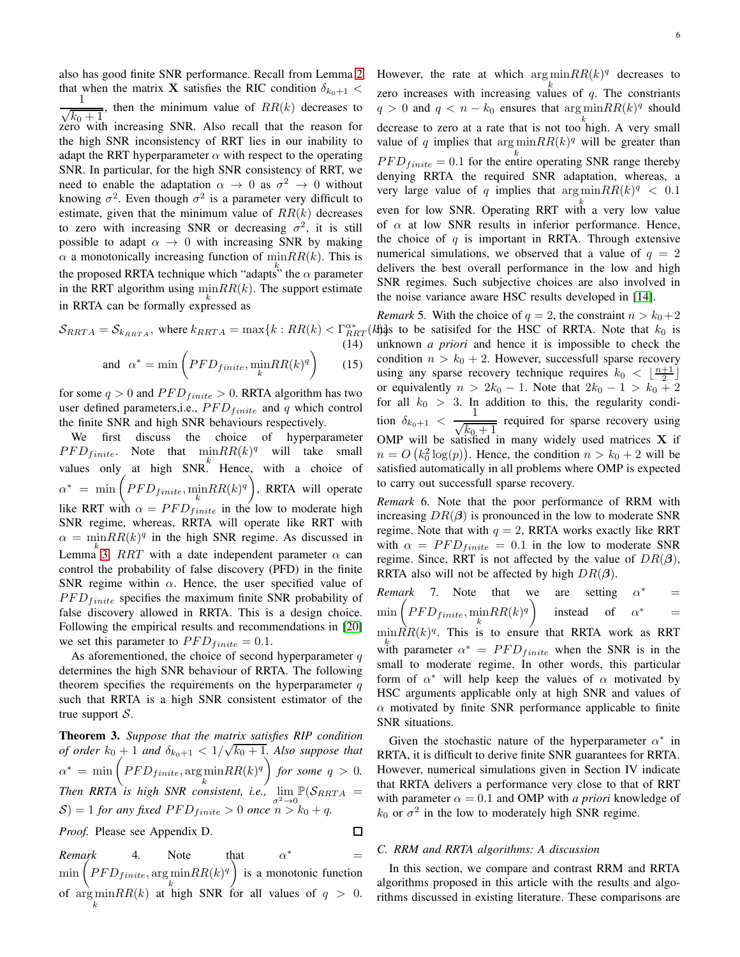also has good finite SNR performance. Recall from Lemma [2](#page-3-0) that when the matrix **X** satisfies the RIC condition  $\delta_{k_0+1}$  < 1  $\sqrt{k_0+1}$  $\equiv$ , then the minimum value of  $RR(k)$  decreases to zero with increasing SNR. Also recall that the reason for the high SNR inconsistency of RRT lies in our inability to adapt the RRT hyperparameter  $\alpha$  with respect to the operating SNR. In particular, for the high SNR consistency of RRT, we need to enable the adaptation  $\alpha \to 0$  as  $\sigma^2 \to 0$  without knowing  $\sigma^2$ . Even though  $\sigma^2$  is a parameter very difficult to estimate, given that the minimum value of  $RR(k)$  decreases to zero with increasing SNR or decreasing  $\sigma^2$ , it is still possible to adapt  $\alpha \rightarrow 0$  with increasing SNR by making  $\alpha$  a monotonically increasing function of  $\min RR(k)$ . This is the proposed RRTA technique which "adapts" the  $\alpha$  parameter in the RRT algorithm using  $\min_{k} RR(k)$ . The support estimate in RRTA can be formally expressed as

$$
S_{RRTA} = S_{k_{RRTA}}, \text{ where } k_{RRTA} = \max\{k : RR(k) < \Gamma_{RRT}^{\alpha*}
$$
\n
$$
\text{(14)}
$$
\n
$$
\text{and } \alpha^* = \min\left(PFD_{finite}, \min_{k} RR(k)^q\right) \tag{15}
$$

for some  $q > 0$  and  $PFD_{finite} > 0$ . RRTA algorithm has two user defined parameters, i.e.,  $PFD_{finite}$  and q which control the finite SNR and high SNR behaviours respectively.

We first discuss the choice of hyperparameter  $PFD_{finite}$ . Note that  $minRR(k)^{q}$  will take small values only at high SNR. Hence, with a choice of  $\alpha^* = \min \left( \mathit{PFD}_{finite}, \min_{k} \mathit{RR}(k)^q \right)$ , RRTA will operate like RRT with  $\alpha = PFD_{finite}^{k}$  in the low to moderate high SNR regime, whereas, RRTA will operate like RRT with  $\alpha = \min RR(k)^q$  in the high SNR regime. As discussed in Lemma [3,](#page-3-1) RRT with a date independent parameter  $\alpha$  can control the probability of false discovery (PFD) in the finite SNR regime within  $\alpha$ . Hence, the user specified value of  $PFD_{finite}$  specifies the maximum finite SNR probability of false discovery allowed in RRTA. This is a design choice. Following the empirical results and recommendations in [\[20\]](#page-12-16) we set this parameter to  $PFD_{finite} = 0.1$ .

As aforementioned, the choice of second hyperparameter  $q$ determines the high SNR behaviour of RRTA. The following theorem specifies the requirements on the hyperparameter  $q$ such that RRTA is a high SNR consistent estimator of the true support  $S$ .

<span id="page-5-0"></span>Theorem 3. *Suppose that the matrix satisfies RIP condition of order*  $k_0 + 1$  *and*  $\delta_{k_0+1} < 1/\sqrt{k_0+1}$ . Also suppose that  $\alpha^* = \min \left( \mathit{PFD}_{finite}, \argmin_{k} \mathit{RR}(k)^q \right)$  for some  $q > 0$ . *Then RRTA* is high SNR consistent, i.e.,  $\lim_{\sigma^2 \to 0} \mathbb{P}(S_{RRTA} = S)$  $S$ ) = 1 *for any fixed PFD<sub>finite</sub>* > 0 *once*  $n > k_0 + q$ *.* 

*Proof.* Please see Appendix D.

◻

*Remark* 4. Note that  $\alpha^*$ ∗ =  $\min\left(PFD_{finite}, \arg\min_{k}RR(k)^{q}\right)$  is a monotonic function of  $\argmin_{k} RR(k)$  at high SNR for all values of  $q > 0$ .

However, the rate at which  $\arg \min RR(k)^q$  decreases to zero increases with increasing values of  $q$ . The constriants  $q > 0$  and  $q < n - k_0$  ensures that  $\argmin_{n} RR(k)^q$  should decrease to zero at a rate that is not too high. A very small value of q implies that  $\arg \min RR(k)^q$  will be greater than  $PFD_{finite} = 0.1$  for the entire operating SNR range thereby denying RRTA the required SNR adaptation, whereas, a very large value of q implies that  $\arg \min RR(k)^q < 0.1$ even for low SNR. Operating RRT with a very low value of  $\alpha$  at low SNR results in inferior performance. Hence, the choice of  $q$  is important in RRTA. Through extensive numerical simulations, we observed that a value of  $q = 2$ delivers the best overall performance in the low and high SNR regimes. Such subjective choices are also involved in the noise variance aware HSC results developed in [\[14\]](#page-12-6).

 $R_{RRT}^{(\lambda)}$  as to be satisifed for the HSC of RRTA. Note that  $k_0$  is *Remark* 5. With the choice of  $q = 2$ , the constraint  $n > k_0 + 2$ unknown *a priori* and hence it is impossible to check the condition  $n > k_0 + 2$ . However, successfull sparse recovery using any sparse recovery technique requires  $k_0 < \lfloor \frac{n+1}{2} \rfloor$ or equivalently  $n > 2k_0 - 1$ . Note that  $2k_0 - 1 > k_0 + 2$ for all  $k_0 > 3$ . In addition to this, the regularity condition  $\delta_{k_0+1} < \frac{1}{\sqrt{k}}$  $\frac{1}{\sqrt{k_0+1}}$  required for sparse recovery using OMP will be satisfied in many widely used matrices  $X$  if  $n = O(k_0^2 \log(p))$ . Hence, the condition  $n > k_0 + 2$  will be satisfied automatically in all problems where OMP is expected to carry out successfull sparse recovery.

*Remark* 6*.* Note that the poor performance of RRM with increasing  $DR(\beta)$  is pronounced in the low to moderate SNR regime. Note that with  $q = 2$ , RRTA works exactly like RRT with  $\alpha = PFD_{finite} = 0.1$  in the low to moderate SNR regime. Since, RRT is not affected by the value of  $DR(\beta)$ , RRTA also will not be affected by high  $DR(\beta)$ .

*Remark* 7. Note that we are setting 
$$
\alpha^*
$$
 =  
min $\left(PFD_{finite}, \min_{k} RR(k)^q\right)$  instead of  $\alpha^*$  =  
min $RR(k)^q$ . This is to ensure that RRTA work as RRT

with parameter  $\alpha^* = PFD_{finite}$  when the SNR is in the small to moderate regime. In other words, this particular form of  $\alpha^*$  will help keep the values of  $\alpha$  motivated by HSC arguments applicable only at high SNR and values of  $\alpha$  motivated by finite SNR performance applicable to finite SNR situations.

Given the stochastic nature of the hyperparameter  $\alpha^*$  in RRTA, it is difficult to derive finite SNR guarantees for RRTA. However, numerical simulations given in Section IV indicate that RRTA delivers a performance very close to that of RRT with parameter  $\alpha = 0.1$  and OMP with *a priori* knowledge of  $k_0$  or  $\sigma^2$  in the low to moderately high SNR regime.

## *C. RRM and RRTA algorithms: A discussion*

In this section, we compare and contrast RRM and RRTA algorithms proposed in this article with the results and algorithms discussed in existing literature. These comparisons are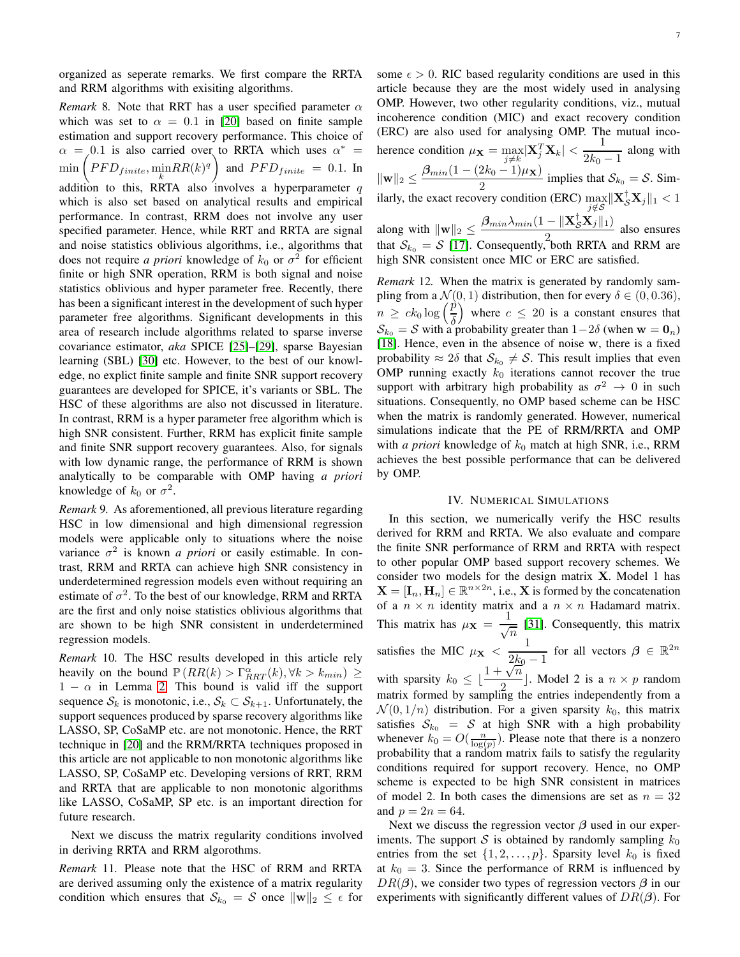organized as seperate remarks. We first compare the RRTA and RRM algorithms with exisiting algorithms.

*Remark* 8. Note that RRT has a user specified parameter  $\alpha$ which was set to  $\alpha = 0.1$  in [\[20\]](#page-12-16) based on finite sample estimation and support recovery performance. This choice of  $\alpha = 0.1$  is also carried over to RRTA which uses  $\alpha^* =$  $\min \left( PFD_{finite}, \min_{k} RR(k)^{q} \right)$  and  $PFD_{finite} = 0.1$ . In addition to this, RRTA also involves a hyperparameter  $q$ which is also set based on analytical results and empirical performance. In contrast, RRM does not involve any user specified parameter. Hence, while RRT and RRTA are signal and noise statistics oblivious algorithms, i.e., algorithms that does not require *a priori* knowledge of  $k_0$  or  $\sigma^2$  for efficient finite or high SNR operation, RRM is both signal and noise statistics oblivious and hyper parameter free. Recently, there has been a significant interest in the development of such hyper parameter free algorithms. Significant developments in this area of research include algorithms related to sparse inverse covariance estimator, *aka* SPICE [\[25\]](#page-12-22)–[\[29\]](#page-12-23), sparse Bayesian learning (SBL) [\[30\]](#page-12-24) etc. However, to the best of our knowledge, no explict finite sample and finite SNR support recovery guarantees are developed for SPICE, it's variants or SBL. The HSC of these algorithms are also not discussed in literature. In contrast, RRM is a hyper parameter free algorithm which is high SNR consistent. Further, RRM has explicit finite sample and finite SNR support recovery guarantees. Also, for signals with low dynamic range, the performance of RRM is shown analytically to be comparable with OMP having *a priori* knowledge of  $k_0$  or  $\sigma^2$ .

*Remark* 9*.* As aforementioned, all previous literature regarding HSC in low dimensional and high dimensional regression models were applicable only to situations where the noise variance  $\sigma^2$  is known *a priori* or easily estimable. In contrast, RRM and RRTA can achieve high SNR consistency in underdetermined regression models even without requiring an estimate of  $\sigma^2$ . To the best of our knowledge, RRM and RRTA are the first and only noise statistics oblivious algorithms that are shown to be high SNR consistent in underdetermined regression models.

*Remark* 10*.* The HSC results developed in this article rely heavily on the bound  $\mathbb{P}(RR(k) > \Gamma_{RRT}^{\alpha}(k), \forall k > k_{min}) \ge$  $1 - \alpha$  in Lemma [2.](#page-3-0) This bound is valid iff the support sequence  $S_k$  is monotonic, i.e.,  $S_k \subset S_{k+1}$ . Unfortunately, the support sequences produced by sparse recovery algorithms like LASSO, SP, CoSaMP etc. are not monotonic. Hence, the RRT technique in [\[20\]](#page-12-16) and the RRM/RRTA techniques proposed in this article are not applicable to non monotonic algorithms like LASSO, SP, CoSaMP etc. Developing versions of RRT, RRM and RRTA that are applicable to non monotonic algorithms like LASSO, CoSaMP, SP etc. is an important direction for future research.

Next we discuss the matrix regularity conditions involved in deriving RRTA and RRM algorothms.

*Remark* 11*.* Please note that the HSC of RRM and RRTA are derived assuming only the existence of a matrix regularity condition which ensures that  $\mathcal{S}_{k_0} = \mathcal{S}$  once  $\|\mathbf{w}\|_2 \leq \epsilon$  for some  $\epsilon > 0$ . RIC based regularity conditions are used in this article because they are the most widely used in analysing OMP. However, two other regularity conditions, viz., mutual incoherence condition (MIC) and exact recovery condition (ERC) are also used for analysing OMP. The mutual incoherence condition  $\mu_{\mathbf{X}} = \max_{j \neq k} |\mathbf{X}_j^T \mathbf{X}_k| < \frac{1}{2k_0}$  $\frac{1}{2k_0 - 1}$  along with  $\|\mathbf{w}\|_2 \leq \frac{\boldsymbol{\beta}_{min}(1-(2k_0-1)\mu_{\mathbf{X}})}{2}$  $\frac{2\pi}{2}$  implies that  $S_{k_0} = S$ . Similarly, the exact recovery condition (ERC) max  $\max_{j \notin \mathcal{S}} \lVert \mathbf{X}_{\mathcal{S}}^{\mathsf{T}} \mathbf{X}_{j} \rVert_1 < 1$ along with  $\|\mathbf{w}\|_2 \leq \frac{\boldsymbol{\beta}_{min}\lambda_{min}(1 - \|\mathbf{X}_{\mathcal{S}}^\intercal\mathbf{X}_{j}\|_1)}{2}$  $\frac{2}{2}$  and DDTA and DDM are that  $S_{k_0} = S$  [\[17\]](#page-12-19). Consequently, both RRTA and RRM are high SNR consistent once MIC or ERC are satisfied.

*Remark* 12*.* When the matrix is generated by randomly sampling from a  $\mathcal{N}(0, 1)$  distribution, then for every  $\delta \in (0, 0.36)$ ,  $n \ge ck_0 \log \left(\frac{\dot{p}}{\delta}\right)$ where  $c \leq 20$  is a constant ensures that  $S_{k_0} = S$  with a probability greater than  $1-2\delta$  (when  $\mathbf{w} = \mathbf{0}_n$ ) [\[18\]](#page-12-14). Hence, even in the absence of noise w, there is a fixed probability  $\approx 2\delta$  that  $S_{k_0} \neq S$ . This result implies that even OMP running exactly  $k_0$  iterations cannot recover the true support with arbitrary high probability as  $\sigma^2 \to 0$  in such situations. Consequently, no OMP based scheme can be HSC when the matrix is randomly generated. However, numerical simulations indicate that the PE of RRM/RRTA and OMP with *a priori* knowledge of  $k_0$  match at high SNR, i.e., RRM achieves the best possible performance that can be delivered by OMP.

## IV. NUMERICAL SIMULATIONS

In this section, we numerically verify the HSC results derived for RRM and RRTA. We also evaluate and compare the finite SNR performance of RRM and RRTA with respect to other popular OMP based support recovery schemes. We consider two models for the design matrix X. Model 1 has  $\mathbf{X} = [\mathbf{I}_n, \mathbf{H}_n] \in \mathbb{R}^{n \times 2n}$ , i.e., **X** is formed by the concatenation of a  $n \times n$  identity matrix and a  $n \times n$  Hadamard matrix. This matrix has  $\mu$ **x** =  $\frac{1}{\sqrt{2}}$  $\frac{1}{\sqrt{n}}$  [\[31\]](#page-12-25). Consequently, this matrix satisfies the MIC  $\mu_{\mathbf{X}} < \frac{1}{2l}$  $\frac{1}{2k_0-1}$  for all vectors  $\beta \in \mathbb{R}^{2n}$ with sparsity  $k_0 \leq \lfloor \frac{1+\sqrt{n}}{2} \rfloor$  $\frac{\sqrt{n}}{2}$ . Model 2 is a  $n \times p$  random matrix formed by sampling the entries independently from a  $\mathcal{N}(0, 1/n)$  distribution. For a given sparsity  $k_0$ , this matrix satisfies  $S_{k_0} = S$  at high SNR with a high probability whenever  $k_0 = O(\frac{n}{\log(p)})$ . Please note that there is a nonzero probability that a random matrix fails to satisfy the regularity conditions required for support recovery. Hence, no OMP scheme is expected to be high SNR consistent in matrices of model 2. In both cases the dimensions are set as  $n = 32$ and  $p = 2n = 64$ .

Next we discuss the regression vector  $\beta$  used in our experiments. The support S is obtained by randomly sampling  $k_0$ entries from the set  $\{1, 2, \ldots, p\}$ . Sparsity level  $k_0$  is fixed at  $k_0 = 3$ . Since the performance of RRM is influenced by  $DR(\beta)$ , we consider two types of regression vectors  $\beta$  in our experiments with significantly different values of  $DR(\beta)$ . For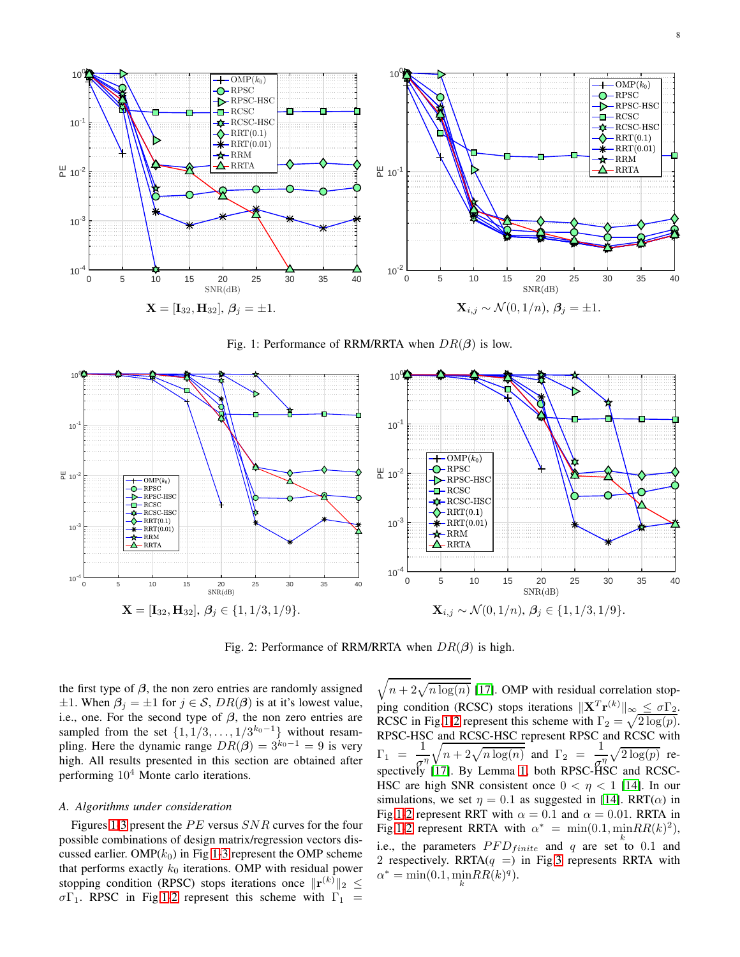<span id="page-7-0"></span>

Fig. 1: Performance of RRM/RRTA when  $DR(\beta)$  is low.

<span id="page-7-1"></span>

Fig. 2: Performance of RRM/RRTA when  $DR(\beta)$  is high.

the first type of  $\beta$ , the non zero entries are randomly assigned  $\pm 1$ . When  $\beta_i = \pm 1$  for  $j \in S$ ,  $DR(\beta)$  is at it's lowest value, i.e., one. For the second type of  $\beta$ , the non zero entries are sampled from the set  $\{1, 1/3, \ldots, 1/3^{k_0-1}\}\$  without resampling. Here the dynamic range  $DR(\beta) = 3^{k_0-1} = 9$  is very high. All results presented in this section are obtained after performing  $10<sup>4</sup>$  Monte carlo iterations.

## *A. Algorithms under consideration*

Figures [1](#page-7-0)[-3](#page-8-0) present the  $PE$  versus  $SNR$  curves for the four possible combinations of design matrix/regression vectors discussed earlier. OMP $(k_0)$  in Fig [1-](#page-7-0)[3](#page-8-0) represent the OMP scheme that performs exactly  $k_0$  iterations. OMP with residual power stopping condition (RPSC) stops iterations once  $\|\mathbf{r}^{(k)}\|_2 \leq$  $\sigma\Gamma_1$ . RPSC in Fig[.1-](#page-7-0)[2](#page-7-1) represent this scheme with  $\Gamma_1$  =

 $\sqrt{n + 2\sqrt{n \log(n)}}$  [\[17\]](#page-12-19). OMP with residual correlation stopping condition (RCSC) stops iterations  $\|\mathbf{X}^T\mathbf{r}^{(k)}\|_{\infty} \leq \sigma \Gamma_2$ . RCSC in Fig[.1](#page-7-0)[-2](#page-7-1) represent this scheme with  $\Gamma_2 = \sqrt{2 \log(p)}$ . RPSC-HSC and RCSC-HSC represent RPSC and RCSC with  $\Gamma_1 = \frac{1}{1}$  $\sigma^\eta$  $\sqrt{n+2\sqrt{n\log(n)}}$  and  $\Gamma_2 = \frac{1}{n}$  $rac{1}{\sigma_{\text{BS}}} \sqrt{2 \log(p)}$  respectively [\[17\]](#page-12-19). By Lemma [1,](#page-2-0) both RPSC-HSC and RCSC-HSC are high SNR consistent once  $0 < \eta < 1$  [\[14\]](#page-12-6). In our simulations, we set  $\eta = 0.1$  as suggested in [\[14\]](#page-12-6). RRT( $\alpha$ ) in Fig[.1-](#page-7-0)[2](#page-7-1) represent RRT with  $\alpha = 0.1$  and  $\alpha = 0.01$ . RRTA in Fig[.1-](#page-7-0)[2](#page-7-1) represent RRTA with  $\alpha^* = \min(0.1, \min RR(k)^2)$ , i.e., the parameters  $PFD_{finite}$  and q are set to 0.1 and 2 respectively. RRTA $(q =)$  in Fig[.3](#page-8-0) represents RRTA with  $\alpha^* = \min(0.1, \min_k RR(k)^q).$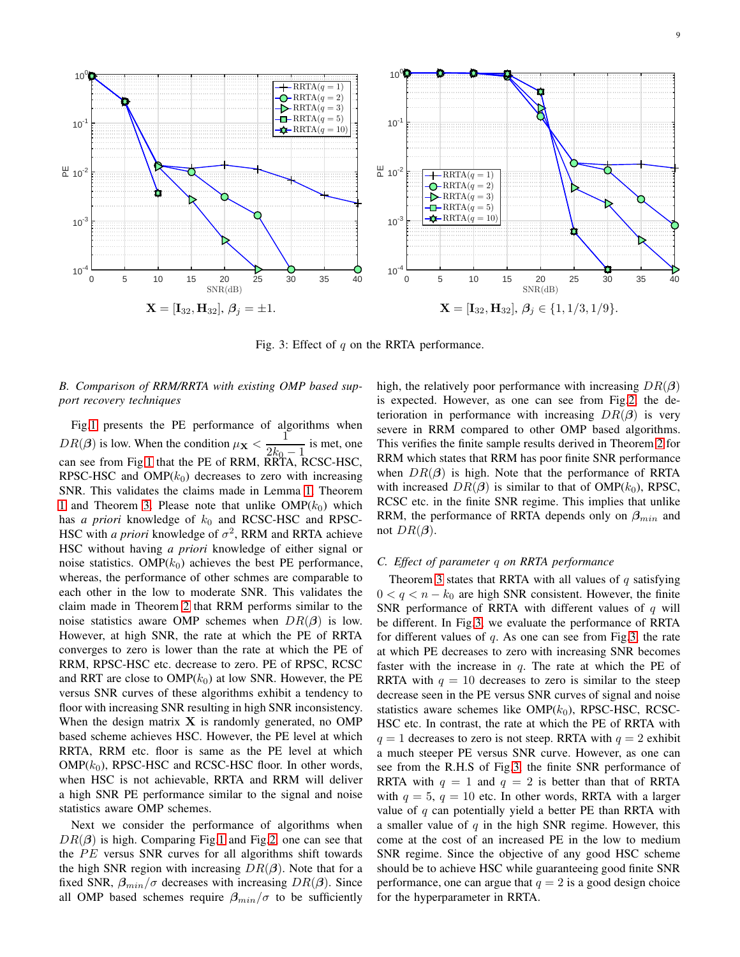<span id="page-8-0"></span>

Fig. 3: Effect of  $q$  on the RRTA performance.

# *B. Comparison of RRM/RRTA with existing OMP based support recovery techniques*

Fig[.1](#page-7-0) presents the PE performance of algorithms when  $DR(\beta)$  is low. When the condition  $\mu_X < \frac{1}{2\beta}$  $\frac{1}{2k_0 - 1}$  is met, one can see from Fig[.1](#page-7-0) that the PE of RRM, RRTA, RCSC-HSC, RPSC-HSC and  $OMP(k_0)$  decreases to zero with increasing SNR. This validates the claims made in Lemma [1,](#page-2-0) Theorem [1](#page-4-2) and Theorem [3.](#page-5-0) Please note that unlike  $\text{OMP}(k_0)$  which has *a priori* knowledge of  $k_0$  and RCSC-HSC and RPSC-HSC with *a priori* knowledge of  $\sigma^2$ , RRM and RRTA achieve HSC without having *a priori* knowledge of either signal or noise statistics. OMP $(k_0)$  achieves the best PE performance, whereas, the performance of other schmes are comparable to each other in the low to moderate SNR. This validates the claim made in Theorem [2](#page-4-1) that RRM performs similar to the noise statistics aware OMP schemes when  $DR(\beta)$  is low. However, at high SNR, the rate at which the PE of RRTA converges to zero is lower than the rate at which the PE of RRM, RPSC-HSC etc. decrease to zero. PE of RPSC, RCSC and RRT are close to  $OMP(k_0)$  at low SNR. However, the PE versus SNR curves of these algorithms exhibit a tendency to floor with increasing SNR resulting in high SNR inconsistency. When the design matrix  $X$  is randomly generated, no OMP based scheme achieves HSC. However, the PE level at which RRTA, RRM etc. floor is same as the PE level at which  $OMP(k_0)$ , RPSC-HSC and RCSC-HSC floor. In other words, when HSC is not achievable, RRTA and RRM will deliver a high SNR PE performance similar to the signal and noise statistics aware OMP schemes.

Next we consider the performance of algorithms when  $DR(\beta)$  is high. Comparing Fig[.1](#page-7-0) and Fig[.2,](#page-7-1) one can see that the  $PE$  versus SNR curves for all algorithms shift towards the high SNR region with increasing  $DR(\beta)$ . Note that for a fixed SNR,  $\beta_{min}/\sigma$  decreases with increasing  $DR(\beta)$ . Since all OMP based schemes require  $\beta_{min}/\sigma$  to be sufficiently high, the relatively poor performance with increasing  $DR(\beta)$ is expected. However, as one can see from Fig[.2,](#page-7-1) the deterioration in performance with increasing  $DR(\beta)$  is very severe in RRM compared to other OMP based algorithms. This verifies the finite sample results derived in Theorem [2](#page-4-1) for RRM which states that RRM has poor finite SNR performance when  $DR(\beta)$  is high. Note that the performance of RRTA with increased  $DR(\beta)$  is similar to that of OMP( $k_0$ ), RPSC, RCSC etc. in the finite SNR regime. This implies that unlike RRM, the performance of RRTA depends only on  $\beta_{min}$  and not  $DR(\beta)$ .

## *C. Effect of parameter* q *on RRTA performance*

Theorem [3](#page-5-0) states that RRTA with all values of  $q$  satisfying  $0 < q < n - k_0$  are high SNR consistent. However, the finite SNR performance of RRTA with different values of  $q$  will be different. In Fig[.3,](#page-8-0) we evaluate the performance of RRTA for different values of  $q$ . As one can see from Fig[.3,](#page-8-0) the rate at which PE decreases to zero with increasing SNR becomes faster with the increase in  $q$ . The rate at which the PE of RRTA with  $q = 10$  decreases to zero is similar to the steep decrease seen in the PE versus SNR curves of signal and noise statistics aware schemes like  $OMP(k_0)$ , RPSC-HSC, RCSC-HSC etc. In contrast, the rate at which the PE of RRTA with  $q = 1$  decreases to zero is not steep. RRTA with  $q = 2$  exhibit a much steeper PE versus SNR curve. However, as one can see from the R.H.S of Fig[.3,](#page-8-0) the finite SNR performance of RRTA with  $q = 1$  and  $q = 2$  is better than that of RRTA with  $q = 5$ ,  $q = 10$  etc. In other words, RRTA with a larger value of  $q$  can potentially yield a better PE than RRTA with a smaller value of q in the high SNR regime. However, this come at the cost of an increased PE in the low to medium SNR regime. Since the objective of any good HSC scheme should be to achieve HSC while guaranteeing good finite SNR performance, one can argue that  $q = 2$  is a good design choice for the hyperparameter in RRTA.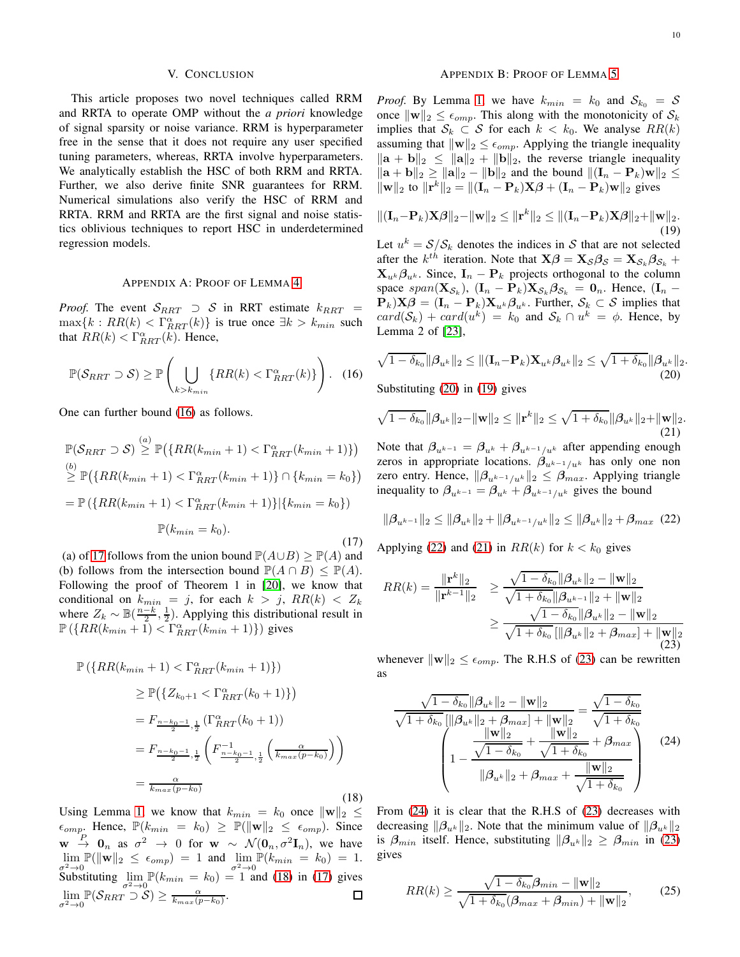## V. CONCLUSION

This article proposes two novel techniques called RRM and RRTA to operate OMP without the *a priori* knowledge of signal sparsity or noise variance. RRM is hyperparameter free in the sense that it does not require any user specified tuning parameters, whereas, RRTA involve hyperparameters. We analytically establish the HSC of both RRM and RRTA. Further, we also derive finite SNR guarantees for RRM. Numerical simulations also verify the HSC of RRM and RRTA. RRM and RRTA are the first signal and noise statistics oblivious techniques to report HSC in underdetermined regression models.

#### APPENDIX A: PROOF OF LEMMA [4](#page-3-2)

*Proof.* The event  $S_{RRT} \supset S$  in RRT estimate  $k_{RRT} =$  $\max\{k : RR(k) < \Gamma_{RRT}^{\alpha}(k)\}\$ is true once  $\exists k > k_{min}$  such that  $RR(k) < \Gamma_{RRT}^{\alpha}(k)$ . Hence,

<span id="page-9-0"></span>
$$
\mathbb{P}(\mathcal{S}_{RRT} \supset \mathcal{S}) \ge \mathbb{P}\left(\bigcup_{k > k_{min}} \{RR(k) < \Gamma_{RRT}^{\alpha}(k)\}\right). \tag{16}
$$

One can further bound [\(16\)](#page-9-0) as follows.

<span id="page-9-1"></span>
$$
\mathbb{P}(\mathcal{S}_{RRT} \supset \mathcal{S}) \stackrel{(a)}{\geq} \mathbb{P}(\{RR(k_{min}+1) < \Gamma_{RRT}^{\alpha}(k_{min}+1)\})
$$
\n
$$
\stackrel{(b)}{\geq} \mathbb{P}(\{RR(k_{min}+1) < \Gamma_{RRT}^{\alpha}(k_{min}+1)\} \cap \{k_{min} = k_0\})
$$
\n
$$
= \mathbb{P}(\{RR(k_{min}+1) < \Gamma_{RRT}^{\alpha}(k_{min}+1)\}|\{k_{min} = k_0\})
$$
\n
$$
\mathbb{P}(k_{min} = k_0).
$$
\n(17)

(a) of [17](#page-9-1) follows from the union bound  $\mathbb{P}(A\cup B) \ge \mathbb{P}(A)$  and (b) follows from the intersection bound  $\mathbb{P}(A \cap B) \leq \mathbb{P}(A)$ . Following the proof of Theorem 1 in [\[20\]](#page-12-16), we know that conditional on  $k_{min} = j$ , for each  $k > j$ ,  $RR(k) < Z_k$ where  $Z_k \sim \mathbb{B}(\frac{n-k}{2}, \frac{1}{2})$ . Applying this distributional result in  $\mathbb{P}\left(\left\{RR(k_{min}+1) < \Gamma_{RRT}^{\alpha}(k_{min}+1)\right\}\right)$  gives

<span id="page-9-2"></span>
$$
\mathbb{P}\left(\{RR(k_{min}+1) < \Gamma_{RRT}^{\alpha}(k_{min}+1)\}\right) \\
\geq \mathbb{P}\left(\{Z_{k_0+1} < \Gamma_{RRT}^{\alpha}(k_0+1)\}\right) \\
= F_{\frac{n-k_0-1}{2},\frac{1}{2}}\left(\Gamma_{RRT}^{\alpha}(k_0+1)\right) \\
= F_{\frac{n-k_0-1}{2},\frac{1}{2}}\left(F_{\frac{n-k_0-1}{2},\frac{1}{2}}\left(\frac{\alpha}{k_{max}(p-k_0)}\right)\right) \\
= \frac{\alpha}{k_{max}(p-k_0)}\n\tag{18}
$$

Using Lemma [1,](#page-2-0) we know that  $k_{min} = k_0$  once  $\|\mathbf{w}\|_2 \leq$  $\epsilon_{omp}$ . Hence,  $\mathbb{P}(k_{min} = k_0) \geq \mathbb{P}(\|\mathbf{w}\|_2 \leq \epsilon_{omp})$ . Since  $\mathbf{w} \stackrel{P}{\rightarrow} \mathbf{0}_n$  as  $\sigma^2 \rightarrow 0$  for  $\mathbf{w} \sim \mathcal{N}(\mathbf{0}_n, \sigma^2 \mathbf{I}_n)$ , we have  $\lim_{n\to\infty} \mathbb{P}(\|\mathbf{w}\|_2 \leq \epsilon_{omp}) = 1$  and  $\lim_{n\to\infty} \mathbb{P}(k_{min} = k_0) = 1$ .  $\sigma^2 \to 0$ <br>Substituting  $\lim_{\sigma^2 \to 0} \mathbb{P}(k_{min} = k_0) = 1$  and [\(18\)](#page-9-2) in [\(17\)](#page-9-1) gives  $\lim_{\sigma^2 \to 0} \mathbb{P}(\mathcal{S}_{RRT} \supset \mathcal{S}) \geq \frac{\alpha}{k_{max}(p-k_0)}.$ 

## APPENDIX B: PROOF OF LEMMA [5](#page-4-0)

*Proof.* By Lemma [1,](#page-2-0) we have  $k_{min} = k_0$  and  $S_{k_0} = S$ once  $\|\mathbf{w}\|_2 \leq \epsilon_{omp}$ . This along with the monotonicity of  $\mathcal{S}_k$ implies that  $S_k \subset S$  for each  $k < k_0$ . We analyse  $RR(k)$ assuming that  $\|\mathbf{w}\|_2 \leq \epsilon_{omp}$ . Applying the triangle inequality  $\|\mathbf{a} + \mathbf{b}\|_2 \leq \|\mathbf{a}\|_2 + \|\mathbf{b}\|_2$ , the reverse triangle inequality  $\|\mathbf{a} + \mathbf{b}\|_2 \ge \|\mathbf{a}\|_2 - \|\mathbf{b}\|_2$  and the bound  $\|(\mathbf{I}_n - \mathbf{P}_k)\mathbf{w}\|_2 \le$  $\|\mathbf{w}\|_2$  to  $\|\mathbf{r}^k\|_2 = \|(\mathbf{I}_n - \mathbf{P}_k)\mathbf{X}\boldsymbol{\beta} + (\mathbf{I}_n - \mathbf{P}_k)\mathbf{w}\|_2$  gives

<span id="page-9-4"></span>
$$
\|(\mathbf{I}_n - \mathbf{P}_k)\mathbf{X}\boldsymbol{\beta}\|_2 - \|\mathbf{w}\|_2 \le \|\mathbf{r}^k\|_2 \le \|(\mathbf{I}_n - \mathbf{P}_k)\mathbf{X}\boldsymbol{\beta}\|_2 + \|\mathbf{w}\|_2.
$$
\n(19)

Let  $u^k = S/S_k$  denotes the indices in S that are not selected after the  $k^{th}$  iteration. Note that  $\mathbf{X}\boldsymbol{\beta} = \mathbf{X}_{\mathcal{S}}\boldsymbol{\beta}_{\mathcal{S}} = \mathbf{X}_{\mathcal{S}_k}\boldsymbol{\beta}_{\mathcal{S}_k} +$  ${\bf X}_{nk}\boldsymbol{\beta}_{nk}$ . Since,  ${\bf I}_n-{\bf P}_k$  projects orthogonal to the column space  $span(\mathbf{X}_{\mathcal{S}_k})$ ,  $(\mathbf{I}_n - \mathbf{P}_k)\mathbf{X}_{\mathcal{S}_k}\mathcal{B}_{\mathcal{S}_k} = \mathbf{0}_n$ . Hence,  $(\mathbf{I}_n - \mathbf{P}_k)\mathbf{X}_{\mathcal{S}_k}\mathcal{B}_{\mathcal{S}_k}$  $(\mathbf{P}_k)\mathbf{X}\boldsymbol{\beta} = (\mathbf{I}_n - \mathbf{P}_k)\mathbf{X}_{u^k}\boldsymbol{\beta}_{u^k}$ . Further,  $\mathcal{S}_k \subset \mathcal{S}$  implies that  $card(S_k) + card(u^k) = k_0$  and  $S_k \cap u^k = \phi$ . Hence, by Lemma 2 of [\[23\]](#page-12-20),

<span id="page-9-3"></span>
$$
\sqrt{1-\delta_{k_0}}\|\boldsymbol{\beta}_{u^k}\|_2 \leq \|(\mathbf{I}_n-\mathbf{P}_k)\mathbf{X}_{u^k}\boldsymbol{\beta}_{u^k}\|_2 \leq \sqrt{1+\delta_{k_0}}\|\boldsymbol{\beta}_{u^k}\|_2.
$$
\n(20)

Substituting [\(20\)](#page-9-3) in [\(19\)](#page-9-4) gives

<span id="page-9-6"></span>
$$
\sqrt{1-\delta_{k_0}}\|\boldsymbol{\beta}_{u^k}\|_2 - \|\mathbf{w}\|_2 \le \|\mathbf{r}^k\|_2 \le \sqrt{1+\delta_{k_0}}\|\boldsymbol{\beta}_{u^k}\|_2 + \|\mathbf{w}\|_2.
$$
\n(21)

Note that  $\beta_{u^{k-1}} = \beta_{u^{k}} + \beta_{u^{k-1}/u^{k}}$  after appending enough zeros in appropriate locations.  $\beta_{u^{k-1}/u^{k}}$  has only one non zero entry. Hence,  $\|\beta_{u^{k-1}/u^{k}}\|_2 \leq \beta_{max}$ . Applying triangle inequality to  $\beta_{u^{k-1}} = \beta_{u^{k}} + \beta_{u^{k-1}/u^{k}}$  gives the bound

<span id="page-9-5"></span>
$$
\|\beta_{u^{k-1}}\|_2 \le \|\beta_{u^k}\|_2 + \|\beta_{u^{k-1}/u^k}\|_2 \le \|\beta_{u^k}\|_2 + \beta_{max} (22)
$$

Applying [\(22\)](#page-9-5) and [\(21\)](#page-9-6) in  $RR(k)$  for  $k < k_0$  gives

<span id="page-9-7"></span>
$$
RR(k) = \frac{\|\mathbf{r}^{k}\|_{2}}{\|\mathbf{r}^{k-1}\|_{2}} \geq \frac{\sqrt{1 - \delta_{k_{0}}} \|\beta_{u^{k}}\|_{2} - \|\mathbf{w}\|_{2}}{\sqrt{1 + \delta_{k_{0}}} \|\beta_{u^{k-1}}\|_{2} + \|\mathbf{w}\|_{2}}
$$

$$
\geq \frac{\sqrt{1 - \delta_{k_{0}}} \|\beta_{u^{k}}\|_{2} - \|\mathbf{w}\|_{2}}{\sqrt{1 + \delta_{k_{0}}} \[\|\beta_{u^{k}}\|_{2} + \beta_{max}\] + \|\mathbf{w}\|_{2}}
$$
(23)

whenever  $\|\mathbf{w}\|_2 \leq \epsilon_{omp}$ . The R.H.S of [\(23\)](#page-9-7) can be rewritten as

<span id="page-9-8"></span>
$$
\frac{\sqrt{1 - \delta_{k_0}} ||\beta_{u^k}||_2 - ||\mathbf{w}||_2}{\sqrt{1 + \delta_{k_0}} ||\beta_{u^k}||_2 + \beta_{max} + ||\mathbf{w}||_2} = \frac{\sqrt{1 - \delta_{k_0}}}{\sqrt{1 + \delta_{k_0}}}
$$
\n
$$
\left(1 - \frac{\frac{||\mathbf{w}||_2}{\sqrt{1 - \delta_{k_0}}} + \frac{||\mathbf{w}||_2}{\sqrt{1 + \delta_{k_0}}} + \beta_{max}}{||\beta_{u^k}||_2 + \beta_{max} + \frac{||\mathbf{w}||_2}{\sqrt{1 + \delta_{k_0}}}}\right)
$$
\n(24)

From [\(24\)](#page-9-8) it is clear that the R.H.S of [\(23\)](#page-9-7) decreases with decreasing  $\|\beta_{u^k}\|_2$ . Note that the minimum value of  $\|\beta_{u^k}\|_2$ is  $\beta_{min}$  itself. Hence, substituting  $\|\beta_{u^k}\|_2 \geq \beta_{min}$  in [\(23\)](#page-9-7) gives

<span id="page-9-9"></span>
$$
RR(k) \ge \frac{\sqrt{1 - \delta_{k_0}} \beta_{min} - ||\mathbf{w}||_2}{\sqrt{1 + \delta_{k_0}} (\beta_{max} + \beta_{min}) + ||\mathbf{w}||_2},
$$
 (25)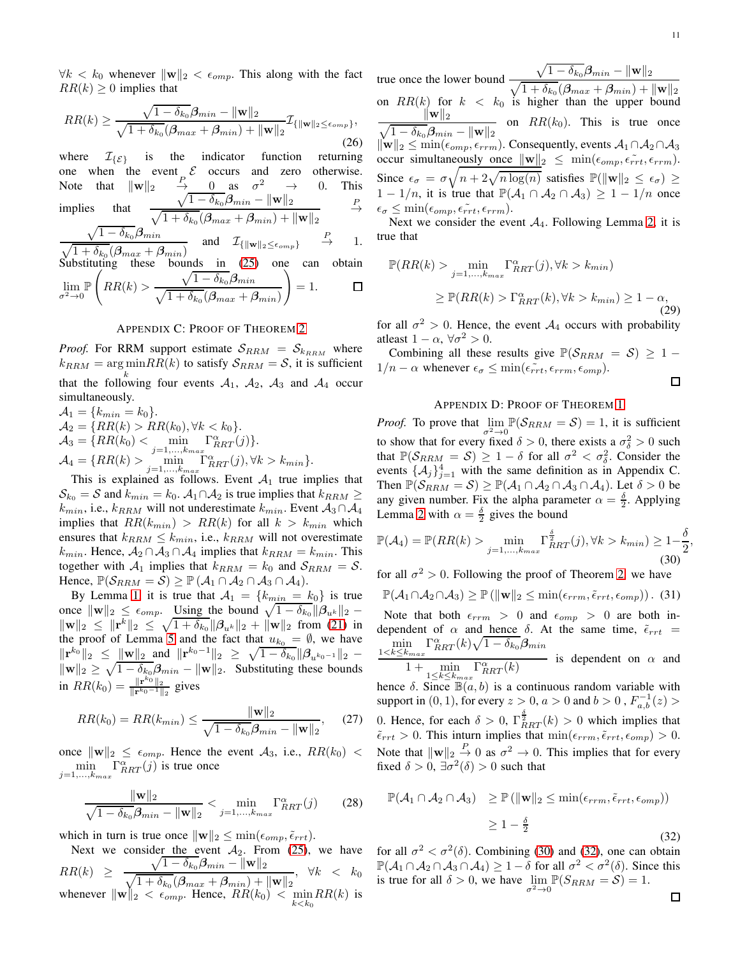$\forall k < k_0$  whenever  $\|\mathbf{w}\|_2 < \epsilon_{omp}$ . This along with the fact  $RR(k) > 0$  implies that

$$
RR(k) \ge \frac{\sqrt{1 - \delta_{k_0}} \beta_{min} - \|\mathbf{w}\|_2}{\sqrt{1 + \delta_{k_0}} (\beta_{max} + \beta_{min}) + \|\mathbf{w}\|_2} \mathcal{I}_{\{\|\mathbf{w}\|_2 \le \epsilon_{omp}\}},
$$
\n(26)

where  $\mathcal{I}_{\{\mathcal{E}\}}$  is the indicator function returning<br>one when the event  $\mathcal{E}$  occurs and zero otherwise. one when the event  $\mathcal{E}$  occurs and zero otherwise. Note that  $\|\mathbf{w}\|_2$  $\rightarrow$  0 as  $\sigma^2$  $\begin{array}{ccc} \stackrel{\mathcal{P}}{\rightarrow} & 0\ \sqrt{1-\delta_{k_0}}\bm{\beta}_{min}-\|\mathbf{w}\|_2 \end{array} \rightarrow \begin{array}{ccc} 0. & \text{This}\ \ \frac{\mathcal{P}}{\rightarrow} \end{array}$ implies  $\sqrt{1+\delta_{k_0}}(\boldsymbol{\beta}_{max}+\boldsymbol{\beta}_{min}) + \|\mathbf{w}\|_2$ P  $\rightarrow$  $\sqrt{}$  $-\,\delta_{k_0}\beta_{min}$ and  $\mathcal{I}_{\{\|\mathbf{w}\|_2 \leq \epsilon_{omp}\}}$ P → 1.

 $\sqrt{1+\delta_{k_0}}(\boldsymbol{\beta}_{max}+\boldsymbol{\beta}_{min})$ Substituting these bounds in [\(25\)](#page-9-9) one can obtain  $\mathbb{P}\left(RR(k) > \frac{\sqrt{1-\delta_{k_0}}\beta_{min}}{R} \right)$ 

$$
\lim_{\sigma^2 \to 0} \mathbb{P}\left(RR(k) > \frac{\sqrt{1 - o_{k_0}} \rho_{min}}{\sqrt{1 + \delta_{k_0}} (\beta_{max} + \beta_{min})}\right) = 1. \qquad \Box
$$

## APPENDIX C: PROOF OF THEOREM [2](#page-4-1)

*Proof.* For RRM support estimate  $S_{RRM} = S_{k_{RRM}}$  where  $k_{RRM} = \arg \min_{n} RR(k)$  to satisfy  $S_{RRM} = S$ , it is sufficient that the following four events  $A_1$ ,  $A_2$ ,  $A_3$  and  $A_4$  occur simultaneously.

$$
\mathcal{A}_1 = \{k_{min} = k_0\}.
$$
  
\n
$$
\mathcal{A}_2 = \{RR(k) > RR(k_0), \forall k < k_0\}.
$$
  
\n
$$
\mathcal{A}_3 = \{RR(k_0) < \min_{j=1,\ldots,k_{max}} \Gamma_{RRT}^{\alpha}(j)\}.
$$
  
\n
$$
\mathcal{A}_4 = \{RR(k) > \min_{j=1,\ldots,k_{max}} \Gamma_{RRT}^{\alpha}(j), \forall k > k_{min}\}.
$$
  
\nThis is explained as follows: Four 4, true in

This is explained as follows. Event  $A_1$  true implies that  $\mathcal{S}_{k_0} = \mathcal{S}$  and  $k_{min} = k_0$ .  $\mathcal{A}_1 \cap \mathcal{A}_2$  is true implies that  $k_{RRM} \geq$  $k_{min}$ , i.e.,  $k_{RRM}$  will not underestimate  $k_{min}$ . Event  $A_3 \cap A_4$ implies that  $RR(k_{min}) > RR(k)$  for all  $k > k_{min}$  which ensures that  $k_{RRM} \leq k_{min}$ , i.e.,  $k_{RRM}$  will not overestimate  $k_{min}$ . Hence,  $A_2 \cap A_3 \cap A_4$  implies that  $k_{RRM} = k_{min}$ . This together with  $A_1$  implies that  $k_{RRM} = k_0$  and  $S_{RRM} = S$ . Hence,  $\mathbb{P}(\mathcal{S}_{RRM} = \mathcal{S}) \geq \mathbb{P}(\mathcal{A}_1 \cap \mathcal{A}_2 \cap \mathcal{A}_3 \cap \mathcal{A}_4).$ 

By Lemma [1,](#page-2-0) it is true that  $A_1 = \{k_{min} = k_0\}$  is true once  $\|\mathbf{w}\|_2 \leq \epsilon_{omp}$ . Using the bound  $\sqrt{1-\delta_{k_0}} \|\boldsymbol{\beta}_{u^k}\|_2$  –  $\|\mathbf{w}\|_2 \leq \|\mathbf{r}^k\|_2 \leq \sqrt{1+\delta_{k_0}} \|\boldsymbol{\beta}_{u^k}\|_2 + \|\mathbf{w}\|_2$  from [\(21\)](#page-9-6) in the proof of Lemma [5](#page-4-0) and the fact that  $u_{k_0} = \emptyset$ , we have  $\|\mathbf{r}^{k_0}\|_2 \leq \frac{\|\mathbf{w}\|_2}{\|\mathbf{w}\|_2}$  and  $\|\mathbf{r}^{k_0-1}\|_2 \geq \sqrt{1-\delta_{k_0}} \|\boldsymbol{\beta}_{u^{k_0-1}}\|_2$  –  $\|\mathbf{w}\|_2 \geq \sqrt{1 - \delta_{k_0} \beta_{min}} - \|\mathbf{w}\|_2$ . Substituting these bounds in  $RR(k_0) = \frac{\|\mathbf{r}^{k_0}\|_2}{\|\mathbf{r}^{k_0-1}\|_2}$  $\frac{\|{\bf r}^{\top}^{\sigma}\|_2}{\|{\bf r}^{k_0-1}\|_2}$  gives

$$
RR(k_0) = RR(k_{min}) \le \frac{\|\mathbf{w}\|_2}{\sqrt{1 - \delta_{k_0}} \beta_{min} - \|\mathbf{w}\|_2},\tag{27}
$$

once  $\|\mathbf{w}\|_2 \leq \epsilon_{omp}$ . Hence the event  $\mathcal{A}_3$ , i.e.,  $RR(k_0)$  <  $\min_{k}$   $\Gamma_{RRT}^{\alpha}(j)$  is true once  $j=1,\ldots,k_{max}$ 

$$
\frac{\|\mathbf{w}\|_{2}}{\sqrt{1-\delta_{k_{0}}}\beta_{min} - \|\mathbf{w}\|_{2}} < \min_{j=1,...,k_{max}} \Gamma_{RRT}^{\alpha}(j)
$$
(28)

which in turn is true once  $\|\mathbf{w}\|_2 \leq \min(\epsilon_{omp}, \tilde{\epsilon}_{rrt}).$ 

Next we consider the event  $A_2$ . From [\(25\)](#page-9-9), we have  $RR(k) \geq$  $\sqrt{1-\delta_{k_0}}\boldsymbol{\beta}_{min}-\|\mathbf{w}\|_2$  $\frac{1}{\sqrt{1 + \delta_{k_0}}(\beta_{max} + \beta_{min}) + ||\mathbf{w}||_2}, \forall k < k_0$ whenever  $\|\mathbf{w}\|_2 < \epsilon_{omp}$ . Hence,  $RR(k_0) < \min_{k \le k_0} RR(k)$  is true once the lower bound  $\sqrt{1-\delta_{k_0}}\boldsymbol{\beta}_{min}-\|\mathbf{w}\|_2$  $\sqrt{1+\delta_{k_0}}(\beta_{max}+\beta_{min})+\|\mathbf{w}\|_2$ on  $RR(k)$  for  $k < k_0$  is higher than the upper bound  $\sqrt{1-\delta_{k_0}}\boldsymbol{\beta}_{min}-\|\mathbf{w}\|_2$  $\mathbf{w}$ ||2\_  $\overline{\phantom{m}}$  on  $RR(k_0)$ . This is true once  $\|\mathbf{w}\|_2 \leq \min(\epsilon_{omp}, \epsilon_{rrm})$ . Consequently, events  $\mathcal{A}_1 \cap \mathcal{A}_2 \cap \mathcal{A}_3$ occur simultaneously once  $\|\mathbf{w}\|_2 \leq \min(\epsilon_{omp}, \epsilon_{rrt}, \epsilon_{rrm}).$ Since  $\epsilon_{\sigma} = \sigma \sqrt{n+2\sqrt{n \log(n)}}$  satisfies  $\mathbb{P}(\|\mathbf{w}\|_2 \leq \epsilon_{\sigma}) \geq$  $1 - 1/n$ , it is true that  $\mathbb{P}(\mathcal{A}_1 \cap \mathcal{A}_2 \cap \mathcal{A}_3) \geq 1 - 1/n$  once  $\epsilon_{\sigma} \leq \min(\epsilon_{omp}, \epsilon_{rrt}, \epsilon_{rrm}).$ 

Next we consider the event  $A_4$ . Following Lemma [2,](#page-3-0) it is true that

$$
\mathbb{P}(RR(k) > \min_{j=1,\dots,k_{max}} \Gamma_{RRT}^{\alpha}(j), \forall k > k_{min})
$$
  
\n
$$
\geq \mathbb{P}(RR(k) > \Gamma_{RRT}^{\alpha}(k), \forall k > k_{min}) \geq 1 - \alpha,
$$
\n(29)

for all  $\sigma^2 > 0$ . Hence, the event  $\mathcal{A}_4$  occurs with probability atleast  $1 - \alpha$ ,  $\forall \sigma^2 > 0$ .

Combining all these results give  $\mathbb{P}(\mathcal{S}_{RRM} = \mathcal{S}) \geq 1$  –  $1/n - \alpha$  whenever  $\epsilon_{\sigma} \leq \min(\epsilon_{rrt}^*, \epsilon_{rrm}, \epsilon_{omp})$ .

$$
\Box
$$

,

## APPENDIX D: PROOF OF THEOREM [1](#page-4-2)

*Proof.* To prove that  $\lim_{\sigma^2 \to 0} \mathbb{P}(\mathcal{S}_{RRM} = \mathcal{S}) = 1$ , it is sufficient to show that for every fixed  $\delta > 0$ , there exists a  $\sigma_6^2 > 0$  such that  $\mathbb{P}(\mathcal{S}_{RRM} = \mathcal{S}) \ge 1 - \delta$  for all  $\sigma^2 < \sigma_{\delta}^2$ . Consider the events  $\{\mathcal{A}_j\}_{j=1}^4$  with the same definition as in Appendix C. Then  $\mathbb{P}(\mathcal{S}_{RRM} = \mathcal{S}) \geq \mathbb{P}(\mathcal{A}_1 \cap \mathcal{A}_2 \cap \mathcal{A}_3 \cap \mathcal{A}_4)$ . Let  $\delta > 0$  be any given number. Fix the alpha parameter  $\alpha = \frac{\delta}{2}$ . Applying Lemma [2](#page-3-0) with  $\alpha = \frac{\delta}{2}$  gives the bound

<span id="page-10-0"></span>
$$
\mathbb{P}(\mathcal{A}_4) = \mathbb{P}(RR(k) > \min_{j=1,\dots,k_{max}} \Gamma_{RRT}^{\frac{\delta}{2}}(j), \forall k > k_{min}) \ge 1 - \frac{\delta}{2}
$$
\n(30)

for all  $\sigma^2 > 0$ . Following the proof of Theorem [2,](#page-4-1) we have

 $\mathbb{P}(\mathcal{A}_1 \cap \mathcal{A}_2 \cap \mathcal{A}_3) \geq \mathbb{P}(\|\mathbf{w}\|_2 \leq \min(\epsilon_{rrm}, \tilde{\epsilon}_{rrt}, \epsilon_{omn})).$  (31)

Note that both  $\epsilon_{rrm} > 0$  and  $\epsilon_{omp} > 0$  are both independent of  $\alpha$  and hence  $\delta$ . At the same time,  $\tilde{\epsilon}_{rrt}$  =  $\min_{k \leq k}$   $\Gamma_{RRT}^{\alpha}(k)\sqrt{1-\delta_{k_0}}\boldsymbol{\beta}_{min}$  $1 < k \leq k_{max}$ 

 $\frac{1 + \min\limits_{1 \le k \le k_{max}} \Gamma^{\alpha}_{RRT}(k)}{1 + \min\limits_{1 \le k \le k_{max}} \Gamma^{\alpha}_{RRT}(k)}$  is dependent on  $\alpha$  and

hence  $\delta$ . Since  $\mathbb{B}(a, b)$  is a continuous random variable with support in  $(0,1)$ , for every  $z>0,$   $a>0$  and  $b>0$  ,  $F_{a,b}^{-1}(z)>0$ 0. Hence, for each  $\delta > 0$ ,  $\Gamma_{RRT}^{\frac{\delta}{2}}(k) > 0$  which implies that  $\tilde{\epsilon}_{rrt} > 0$ . This inturn implies that  $\min(\epsilon_{rrm}, \tilde{\epsilon}_{rrt}, \epsilon_{omp}) > 0$ . Note that  $\|\mathbf{w}\|_2 \xrightarrow{P} 0$  as  $\sigma^2 \to 0$ . This implies that for every fixed  $\delta > 0$ ,  $\exists \sigma^2(\delta) > 0$  such that

<span id="page-10-1"></span>
$$
\mathbb{P}(\mathcal{A}_1 \cap \mathcal{A}_2 \cap \mathcal{A}_3) \ge \mathbb{P} \left( \|\mathbf{w}\|_2 \le \min(\epsilon_{rrm}, \tilde{\epsilon}_{rrt}, \epsilon_{omp}) \right)
$$
  

$$
\ge 1 - \frac{\delta}{2}
$$
 (32)

for all  $\sigma^2 < \sigma^2(\delta)$ . Combining [\(30\)](#page-10-0) and [\(32\)](#page-10-1), one can obtain  $\mathbb{P}(\mathcal{A}_1 \cap \mathcal{A}_2 \cap \mathcal{A}_3 \cap \mathcal{A}_4) \ge 1 - \delta$  for all  $\sigma^2 < \sigma^2(\delta)$ . Since this is true for all  $\delta > 0$ , we have  $\lim_{\sigma^2 \to 0} \mathbb{P}(S_{RRM} = S) = 1$ .  $\Box$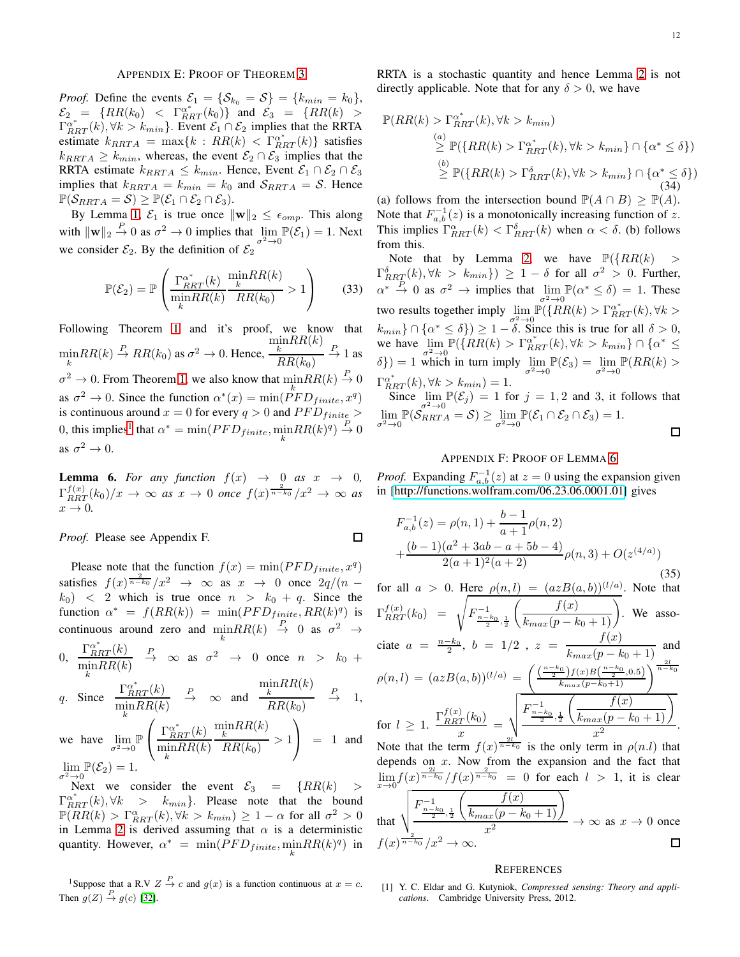## APPENDIX E: PROOF OF THEOREM [3](#page-5-0)

*Proof.* Define the events  $\mathcal{E}_1 = \{ \mathcal{S}_{k_0} = \mathcal{S} \} = \{ k_{min} = k_0 \},$  $\mathcal{E}_2 = \{RR(k_0) \leq \Gamma_{RRT}^{a^*}(k_0)\}$  and  $\mathcal{E}_3 = \{RR(k) > k_0\}$  $\Gamma_{RRT}^{\alpha^*}(k)$ ,  $\forall k > k_{min}$ . Event  $\mathcal{E}_1 \cap \mathcal{E}_2$  implies that the RRTA estimate  $k_{RRTA} = \max\{k : RR(k) < \Gamma_{RRT}^{\alpha^*}(k)\}\$  satisfies  $k_{RRTA} \geq k_{min}$ , whereas, the event  $\mathcal{E}_2 \cap \mathcal{E}_3$  implies that the RRTA estimate  $k_{RRTA} \leq k_{min}$ . Hence, Event  $\mathcal{E}_1 \cap \mathcal{E}_2 \cap \mathcal{E}_3$ implies that  $k_{RRTA} = k_{min} = k_0$  and  $S_{RRTA} = S$ . Hence  $\mathbb{P}(\mathcal{S}_{RRTA} = \mathcal{S}) \geq \mathbb{P}(\mathcal{E}_1 \cap \mathcal{E}_2 \cap \mathcal{E}_3).$ 

By Lemma [1,](#page-2-0)  $\mathcal{E}_1$  is true once  $\|\mathbf{w}\|_2 \leq \epsilon_{omp}$ . This along with  $\|\mathbf{w}\|_2 \stackrel{P}{\to} 0$  as  $\sigma^2 \to 0$  implies that  $\lim_{\sigma^2 \to 0} \mathbb{P}(\mathcal{E}_1) = 1$ . Next we consider  $\mathcal{E}_2$ . By the definition of  $\mathcal{E}_2^{\sigma^2 \to 0}$ 

$$
\mathbb{P}(\mathcal{E}_2) = \mathbb{P}\left(\frac{\Gamma_{RRT}^{\alpha^*}(k)}{\min_{k} RR(k)} \frac{\min_{k} RR(k)}{RR(k_0)} > 1\right) \tag{33}
$$

Following Theorem [1](#page-4-2) and it's proof, we know that  $\min_{k} RR(k) \stackrel{P}{\to} RR(k_0)$  as  $\sigma^2 \to 0$ . Hence,  $\min_k$ RR $(k)$  $RR(k_0)$  $\stackrel{P}{\to} 1$  as  $\sigma^2 \to 0$ . From Theorem [1,](#page-4-2) we also know that  $\min_k RR(k) \stackrel{P}{\to} 0$ as  $\sigma^2 \to 0$ . Since the function  $\alpha^*(x) = \min(PFD_{finite}, x^q)$ is continuous around  $x = 0$  for every  $q > 0$  and  $PFD_{finite} >$ 0, this implies<sup>[1](#page-11-1)</sup> that  $\alpha^* = \min(PFD_{finite}, \min_k RR(k)^q) \stackrel{P}{\rightarrow} 0$ as  $\sigma^2 \to 0$ .

<span id="page-11-2"></span>**Lemma 6.** For any function  $f(x) \rightarrow 0$  as  $x \rightarrow 0$ ,  $\Gamma_{RRT}^{f(x)}(k_0)/x \to \infty$  *as*  $x \to 0$  *once*  $f(x)^{\frac{2}{n-k_0}}/x^2 \to \infty$  *as*  $x \rightarrow 0$ .

 $\Box$ 

*Proof.* Please see Appendix F.

Please note that the function  $f(x) = \min(PFD_{finite}, x^q)$ satisfies  $f(x) \frac{2}{n-k_0}/x^2 \to \infty$  as  $x \to 0$  once  $2q/(n (k_0)$  < 2 which is true once  $n > k_0 + q$ . Since the function  $\alpha^* = f(RR(k)) = \min(PFD_{finite}, RR(k)^q)$  is continuous around zero and  $\min_{k} RR(k) \stackrel{P}{\rightarrow} 0$  as  $\sigma^2 \rightarrow$ 

0, 
$$
\frac{\Gamma_{RRT}^{\alpha^*}(k)}{\min_{k}RR(k)}
$$
  $\xrightarrow{P}$   $\infty$  as  $\sigma^2 \to 0$  once  $n > k_0 +$ 

q. Since 
$$
\frac{\Gamma_{RRT}^{\alpha^*}(k)}{\min_{k}RR(k)}
$$
  $\xrightarrow{P}$   $\infty$  and  $\frac{\min_{k}RR(k)}{RR(k_0)}$   $\xrightarrow{P}$  1,

we have 
$$
\lim_{\sigma^2 \to 0} \mathbb{P}\left(\frac{\Gamma_{RRT}^{\alpha^*}(k)}{\min_{k} RR(k)} \frac{\min_{k} RR(k)}{RR(k_0)} > 1\right) = 1
$$
 and  $\lim_{\sigma^2 \to 0} \mathbb{P}(\mathcal{E}_2) = 1.$ 

Next we consider the event  $\mathcal{E}_3$  =  $\{RR(k)$  >  $\Gamma_{RRT}^{\alpha^*}(k), \forall k > k_{min}$ . Please note that the bound  $\mathbb{P}(RR(k) > \Gamma_{RRT}^{\alpha}(k), \forall k > k_{min}) \geq 1 - \alpha$  for all  $\sigma^2 > 0$ in Lemma [2](#page-3-0) is derived assuming that  $\alpha$  is a deterministic quantity. However,  $\alpha^* = \min(PFD_{finite}, \min_k RR(k)^q)$  in

<span id="page-11-1"></span><sup>1</sup>Suppose that a R.V  $Z \stackrel{P}{\rightarrow} c$  and  $g(x)$  is a function continuous at  $x = c$ . Then  $g(Z) \stackrel{P}{\to} g(c)$  [\[32\]](#page-12-26).

RRTA is a stochastic quantity and hence Lemma [2](#page-3-0) is not directly applicable. Note that for any  $\delta > 0$ , we have

$$
\mathbb{P}(RR(k) > \Gamma_{RRT}^{\alpha^*}(k), \forall k > k_{min})
$$
\n
$$
\geq \mathbb{P}(\{RR(k) > \Gamma_{RRT}^{\alpha^*}(k), \forall k > k_{min}\} \cap \{\alpha^* \leq \delta\})
$$
\n
$$
\geq \mathbb{P}(\{RR(k) > \Gamma_{RRT}^{\delta}(k), \forall k > k_{min}\} \cap \{\alpha^* \leq \delta\})
$$
\n(34)

(a) follows from the intersection bound  $\mathbb{P}(A \cap B) \geq \mathbb{P}(A)$ . Note that  $F_{a,b}^{-1}(z)$  is a monotonically increasing function of z. This implies  $\Gamma_{RRT}^{\alpha}(k) < \Gamma_{RRT}^{\delta}(k)$  when  $\alpha < \delta$ . (b) follows from this.

Note that by Lemma [2,](#page-3-0) we have  $\mathbb{P}(\lbrace RR(k) >$  $\{\Gamma_{RR\vec{A}}^{\delta}(k), \forall k > k_{min}\}\}\geq 1-\delta$  for all  $\sigma^2 > 0$ . Further,  $\alpha^* \stackrel{P}{\rightarrow} 0$  as  $\sigma^2 \rightarrow$  implies that  $\lim_{\sigma^2 \rightarrow 0}$  $\mathbb{P}(\alpha^* \leq \delta) = 1$ . These two results together imply  $\lim_{\sigma^2 \to 0} \mathbb{P}(\{RR(k) > \Gamma^{\alpha^*}_{RRT}(k), \forall k >$  $k_{min} \} \cap \{ \alpha^* \leq \delta \} \geq 1 - \delta$ . Since this is true for all  $\delta > 0$ , we have  $\lim_{\sigma_1^2 \to 0} \mathbb{P}(\{RR(k) > \Gamma_{RRT}^{\alpha^*}(k), \forall k > k_{min}\} \cap {\alpha^* \leq$  $\delta$ }) = 1 which in turn imply  $\lim_{\sigma^2 \to 0} \mathbb{P}(\mathcal{E}_3) = \lim_{\sigma^2 \to 0}$  $\mathbb{P}(RR(k) >$  $\Gamma_{RRT}^{\alpha^*}(k), \forall k > k_{min}) = 1.$ 

Since  $\lim_{n \to \infty} \mathbb{P}(\mathcal{E}_j) = 1$  for  $j = 1, 2$  and 3, it follows that  $\lim_{\sigma^2 \to 0} \mathbb{P}(\mathcal{S}_{RRTA}^{\sigma \to 0} = \mathcal{S}) \ge \lim_{\sigma^2 \to 0} \mathbb{P}(\mathcal{E}_1 \cap \mathcal{E}_2 \cap \mathcal{E}_3) = 1.$  $\Box$ 

## APPENDIX F: PROOF OF LEMMA [6](#page-11-2)

*Proof.* Expanding  $F_{a,b}^{-1}(z)$  at  $z = 0$  using the expansion given in [\[http://functions.wolfram.com/06.23.06.0001.01\]](http://functions.wolfram.com/06.23.06.0001.01) gives

$$
F_{a,b}^{-1}(z) = \rho(n, 1) + \frac{b-1}{a+1}\rho(n, 2)
$$
  
+ 
$$
\frac{(b-1)(a^2 + 3ab - a + 5b - 4)}{2(a+1)^2(a+2)}\rho(n, 3) + O(z^{(4/a)})
$$
 (35)

for all  $a > 0$ . Here  $\rho(n, l) = (azB(a, b))^{(l/a)}$ . Note that  $\Gamma^{f(x)}_{RRT}(k_0) = \sqrt{F^{-1}_{\frac{n-k_0}{2},\frac{1}{2}}}$  $\left(\frac{f(x)}{k_{max}(p-k_0+1)}\right)$ . We associate  $a = \frac{n-k_0}{2}$ ,  $b = 1/2$ ,  $z = \frac{f(x)}{k_{max}(p-k_0+1)}$  and  $\rho(n,l) = (azB(a,b))^{(l/a)} = \left(\frac{\left(\frac{n-k_0}{2}\right)f(x)B\left(\frac{n-k_0}{2},0.5\right)}{k_{max}(p-k_0+1)}\right)^{\frac{2l}{n-l}}$  $n-k<sub>0</sub>$  $\frac{\int_T^0 (k_0)}{x} = \sqrt{\frac{F_{\frac{n-k_0}{2},\frac{1}{2}}^{-1}}{2}}$  $\left(\frac{f(x)}{k_{max}(p-k_0+1)}\right)$ for  $l \geq 1$ .  $\frac{\Gamma_{RRT}^{f(x)}(k_0)}{r}$ .  $x^2$ Note that the term  $f(x)^{\frac{2l}{n-k_0}}$  is the only term in  $\rho(n,l)$  that depends on  $x$ . Now from the expansion and the fact that  $\lim_{x\to 0} f(x)^\frac{2l}{n-k_0}/f(x)^\frac{2}{n-k_0} = 0$  for each  $l > 1$ , it is clear  $\sqrt{ }$  $\sqrt{2}$  $f(x)$ −1 F  $n-k<sub>0</sub>$ 1  $h_{max}(p - k_0 + 1)$ , 2 2 that  $\frac{x(p - n_0 + 1)}{2} \to \infty$  as  $x \to 0$  once  $\boldsymbol{x}$  $\frac{1}{n-k_0}/x^2 \to \infty.$  $f(x)^{\frac{1}{n-1}}$  $\Box$ 

#### **REFERENCES**

<span id="page-11-0"></span>[1] Y. C. Eldar and G. Kutyniok, *Compressed sensing: Theory and applications*. Cambridge University Press, 2012.